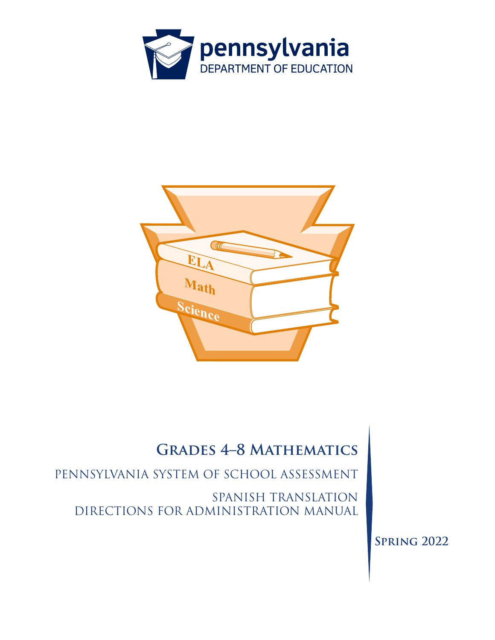



### **Grades 4–8 Mathematics**

PENNSYLVANIA SYSTEM OF SCHOOL ASSESSMENT

SPANISH TRANSLATION DIRECTIONS FOR ADMINISTRATION MANUAL

**Spring 2022**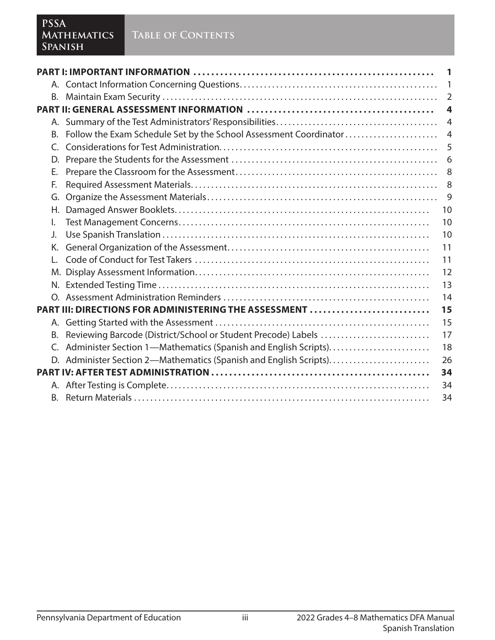### **Table of Contents**

**PSSA** 

**Spanish**

**Mathematics** 

|    |                                                                   | 1              |
|----|-------------------------------------------------------------------|----------------|
| B. |                                                                   | $\overline{2}$ |
|    |                                                                   | 4              |
|    |                                                                   | 4              |
| B. | Follow the Exam Schedule Set by the School Assessment Coordinator | $\overline{4}$ |
|    |                                                                   | 5              |
|    |                                                                   | 6              |
| Е. |                                                                   | 8              |
| F. |                                                                   | 8              |
| G. |                                                                   | 9              |
| Н. |                                                                   | 10             |
|    |                                                                   | 10             |
| J. |                                                                   | 10             |
| K. |                                                                   | 11             |
|    |                                                                   | 11             |
|    |                                                                   | 12             |
|    |                                                                   | 13             |
|    |                                                                   | 14             |
|    | PART III: DIRECTIONS FOR ADMINISTERING THE ASSESSMENT             | 15             |
|    |                                                                   | 15             |
| B. |                                                                   | 17             |
|    |                                                                   | 18             |
|    | D. Administer Section 2-Mathematics (Spanish and English Scripts) | 26             |
|    |                                                                   | 34             |
|    |                                                                   | 34             |
| B. |                                                                   | 34             |
|    |                                                                   |                |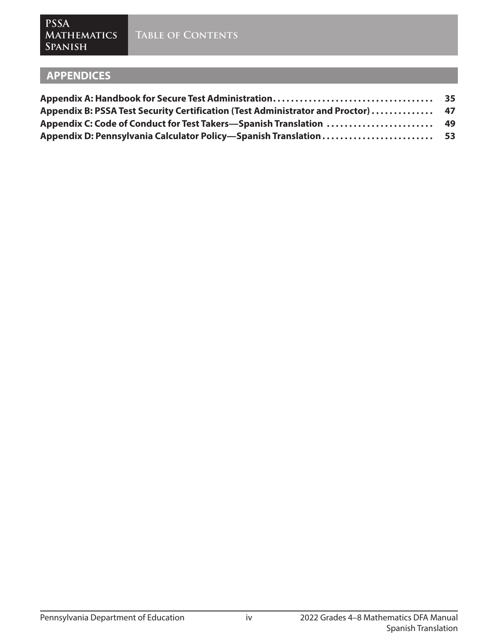### **APPENDICES**

| Appendix B: PSSA Test Security Certification (Test Administrator and Proctor)  47 |  |
|-----------------------------------------------------------------------------------|--|
|                                                                                   |  |
|                                                                                   |  |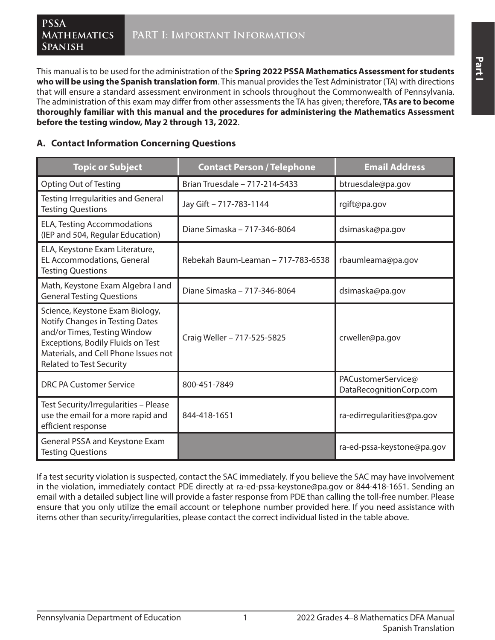This manual is to be used for the administration of the **Spring 2022 PSSA Mathematics Assessment for students who will be using the Spanish translation form**. This manual provides the Test Administrator (TA) with directions that will ensure a standard assessment environment in schools throughout the Commonwealth of Pennsylvania. The administration of this exam may differ from other assessments the TA has given; therefore, **TAs are to become thoroughly familiar with this manual and the procedures for administering the Mathematics Assessment before the testing window, May 2 through 13, 2022**.

### **A. Contact Information Concerning Questions**

<span id="page-4-0"></span>**PSSA** 

**Spanish**

**Mathematics** 

| <b>Topic or Subject</b>                                                                                                                                                                                            | <b>Contact Person / Telephone</b>  | <b>Email Address</b>                          |
|--------------------------------------------------------------------------------------------------------------------------------------------------------------------------------------------------------------------|------------------------------------|-----------------------------------------------|
| <b>Opting Out of Testing</b>                                                                                                                                                                                       | Brian Truesdale - 717-214-5433     | btruesdale@pa.gov                             |
| Testing Irregularities and General<br><b>Testing Questions</b>                                                                                                                                                     | Jay Gift - 717-783-1144            | rgift@pa.gov                                  |
| <b>ELA, Testing Accommodations</b><br>(IEP and 504, Regular Education)                                                                                                                                             | Diane Simaska - 717-346-8064       | dsimaska@pa.gov                               |
| ELA, Keystone Exam Literature,<br>EL Accommodations, General<br><b>Testing Questions</b>                                                                                                                           | Rebekah Baum-Leaman - 717-783-6538 | rbaumleama@pa.gov                             |
| Math, Keystone Exam Algebra I and<br><b>General Testing Questions</b>                                                                                                                                              | Diane Simaska - 717-346-8064       | dsimaska@pa.gov                               |
| Science, Keystone Exam Biology,<br>Notify Changes in Testing Dates<br>and/or Times, Testing Window<br>Exceptions, Bodily Fluids on Test<br>Materials, and Cell Phone Issues not<br><b>Related to Test Security</b> | Craig Weller - 717-525-5825        | crweller@pa.gov                               |
| <b>DRC PA Customer Service</b>                                                                                                                                                                                     | 800-451-7849                       | PACustomerService@<br>DataRecognitionCorp.com |
| Test Security/Irregularities - Please<br>use the email for a more rapid and<br>efficient response                                                                                                                  | 844-418-1651                       | ra-edirregularities@pa.gov                    |
| General PSSA and Keystone Exam<br><b>Testing Questions</b>                                                                                                                                                         |                                    | ra-ed-pssa-keystone@pa.gov                    |

If a test security violation is suspected, contact the SAC immediately. If you believe the SAC may have involvement in the violation, immediately contact PDE directly at [ra-ed-pssa-keystone@pa.gov](mailto:ra-ed-pssa-keystone%40pa.gov?subject=) or 844-418-1651. Sending an email with a detailed subject line will provide a faster response from PDE than calling the toll-free number. Please ensure that you only utilize the email account or telephone number provided here. If you need assistance with items other than security/irregularities, please contact the correct individual listed in the table above.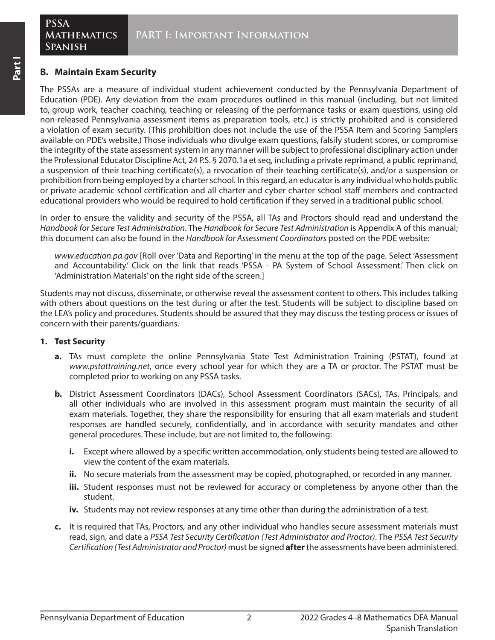<span id="page-5-0"></span>**PSSA** 

**Spanish**

#### **B. Maintain Exam Security**

**Mathematics** 

The PSSAs are a measure of individual student achievement conducted by the Pennsylvania Department of Education (PDE). Any deviation from the exam procedures outlined in this manual (including, but not limited to, group work, teacher coaching, teaching or releasing of the performance tasks or exam questions, using old non-released Pennsylvania assessment items as preparation tools, etc.) is strictly prohibited and is considered a violation of exam security. (This prohibition does not include the use of the PSSA Item and Scoring Samplers available on PDE's website.) Those individuals who divulge exam questions, falsify student scores, or compromise the integrity of the state assessment system in any manner will be subject to professional disciplinary action under the Professional Educator Discipline Act, 24 P.S. § 2070.1a et seq, including a private reprimand, a public reprimand, a suspension of their teaching certificate(s), a revocation of their teaching certificate(s), and/or a suspension or prohibition from being employed by a charter school. In this regard, an educator is any individual who holds public or private academic school certification and all charter and cyber charter school staff members and contracted educational providers who would be required to hold certification if they served in a traditional public school.

In order to ensure the validity and security of the PSSA, all TAs and Proctors should read and understand the *Handbook for Secure Test Administration*. The *Handbook for Secure Test Administration* is Appendix A of this manual; this document can also be found in the *Handbook for Assessment Coordinators* posted on the PDE website:

*[www.education.pa.gov](http://www.education.pa.gov)* [Roll over 'Data and Reporting' in the menu at the top of the page. Select 'Assessment and Accountability.' Click on the link that reads 'PSSA - PA System of School Assessment.' Then click on 'Administration Materials' on the right side of the screen.]

Students may not discuss, disseminate, or otherwise reveal the assessment content to others. This includes talking with others about questions on the test during or after the test. Students will be subject to discipline based on the LEA's policy and procedures. Students should be assured that they may discuss the testing process or issues of concern with their parents/guardians.

#### **1. Test Security**

- **a.** TAs must complete the online Pennsylvania State Test Administration Training (PSTAT), found at *www.pstattraining.net*, once every school year for which they are a TA or proctor. The PSTAT must be completed prior to working on any PSSA tasks.
- **b.** District Assessment Coordinators (DACs), School Assessment Coordinators (SACs), TAs, Principals, and all other individuals who are involved in this assessment program must maintain the security of all exam materials. Together, they share the responsibility for ensuring that all exam materials and student responses are handled securely, confidentially, and in accordance with security mandates and other general procedures. These include, but are not limited to, the following:
	- **i.** Except where allowed by a specific written accommodation, only students being tested are allowed to view the content of the exam materials.
	- **ii.** No secure materials from the assessment may be copied, photographed, or recorded in any manner.
	- **iii.** Student responses must not be reviewed for accuracy or completeness by anyone other than the student.
	- **iv.** Students may not review responses at any time other than during the administration of a test.
- **c.** It is required that TAs, Proctors, and any other individual who handles secure assessment materials must read, sign, and date a *PSSA Test Security Certification (Test Administrator and Proctor)*. The *PSSA Test Security Certification (Test Administrator and Proctor)* must be signed **after** the assessments have been administered.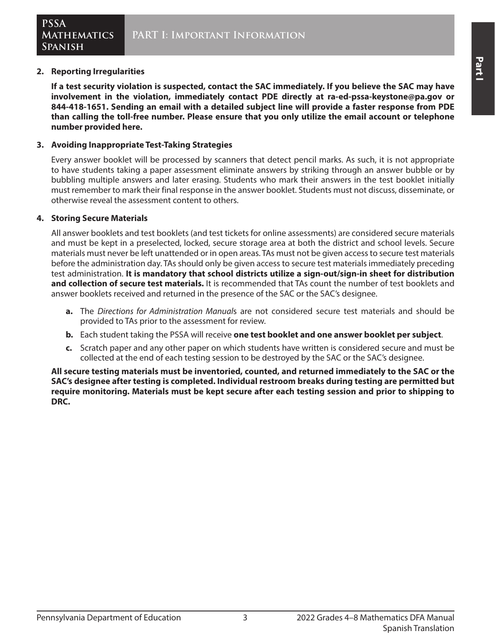#### **2. Reporting Irregularities**

**Mathematics** 

**PSSA** 

**Spanish**

**If a test security violation is suspected, contact the SAC immediately. If you believe the SAC may have involvement in the violation, immediately contact PDE directly at [ra-ed-pssa-keystone@pa.gov](mailto:ra-ed-pssa-keystone%40pa.gov?subject=) or 844-418-1651. Sending an email with a detailed subject line will provide a faster response from PDE than calling the toll-free number. Please ensure that you only utilize the email account or telephone number provided here.**

#### **3. Avoiding Inappropriate Test-Taking Strategies**

Every answer booklet will be processed by scanners that detect pencil marks. As such, it is not appropriate to have students taking a paper assessment eliminate answers by striking through an answer bubble or by bubbling multiple answers and later erasing. Students who mark their answers in the test booklet initially must remember to mark their final response in the answer booklet. Students must not discuss, disseminate, or otherwise reveal the assessment content to others.

#### **4. Storing Secure Materials**

All answer booklets and test booklets (and test tickets for online assessments) are considered secure materials and must be kept in a preselected, locked, secure storage area at both the district and school levels. Secure materials must never be left unattended or in open areas. TAs must not be given access to secure test materials before the administration day. TAs should only be given access to secure test materials immediately preceding test administration. **It is mandatory that school districts utilize a sign-out/sign-in sheet for distribution and collection of secure test materials.** It is recommended that TAs count the number of test booklets and answer booklets received and returned in the presence of the SAC or the SAC's designee.

- **a.** The *Directions for Administration Manual*s are not considered secure test materials and should be provided to TAs prior to the assessment for review.
- **b.** Each student taking the PSSA will receive **one test booklet and one answer booklet per subject**.
- **c.** Scratch paper and any other paper on which students have written is considered secure and must be collected at the end of each testing session to be destroyed by the SAC or the SAC's designee.

**All secure testing materials must be inventoried, counted, and returned immediately to the SAC or the SAC's designee after testing is completed. Individual restroom breaks during testing are permitted but require monitoring. Materials must be kept secure after each testing session and prior to shipping to DRC.**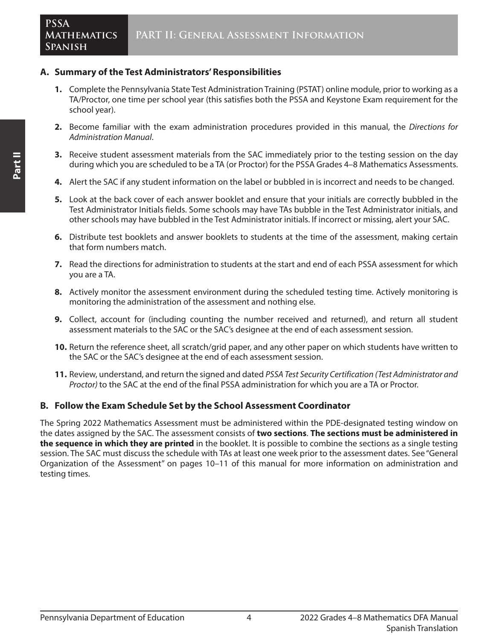#### **A. Summary of the Test Administrators' Responsibilities**

- **1.** Complete the Pennsylvania State Test Administration Training (PSTAT) online module, prior to working as a TA/Proctor, one time per school year (this satisfies both the PSSA and Keystone Exam requirement for the school year).
- **2.** Become familiar with the exam administration procedures provided in this manual, the *Directions for Administration Manual*.
- **3.** Receive student assessment materials from the SAC immediately prior to the testing session on the day during which you are scheduled to be a TA (or Proctor) for the PSSA Grades 4–8 Mathematics Assessments.
- **4.** Alert the SAC if any student information on the label or bubbled in is incorrect and needs to be changed.
- **5.** Look at the back cover of each answer booklet and ensure that your initials are correctly bubbled in the Test Administrator Initials fields. Some schools may have TAs bubble in the Test Administrator initials, and other schools may have bubbled in the Test Administrator initials. If incorrect or missing, alert your SAC.
- **6.** Distribute test booklets and answer booklets to students at the time of the assessment, making certain that form numbers match.
- **7.** Read the directions for administration to students at the start and end of each PSSA assessment for which you are a TA.
- **8.** Actively monitor the assessment environment during the scheduled testing time. Actively monitoring is monitoring the administration of the assessment and nothing else.
- **9.** Collect, account for (including counting the number received and returned), and return all student assessment materials to the SAC or the SAC's designee at the end of each assessment session.
- **10.** Return the reference sheet, all scratch/grid paper, and any other paper on which students have written to the SAC or the SAC's designee at the end of each assessment session.
- **11.** Review, understand, and return the signed and dated *PSSA Test Security Certification (Test Administrator and Proctor)* to the SAC at the end of the final PSSA administration for which you are a TA or Proctor.

#### **B. Follow the Exam Schedule Set by the School Assessment Coordinator**

The Spring 2022 Mathematics Assessment must be administered within the PDE-designated testing window on the dates assigned by the SAC. The assessment consists of **two sections**. **The sections must be administered in the sequence in which they are printed** in the booklet. It is possible to combine the sections as a single testing session. The SAC must discuss the schedule with TAs at least one week prior to the assessment dates. See "General Organization of the Assessment" on pages 10–11 of this manual for more information on administration and testing times.

<span id="page-7-0"></span>**PSSA**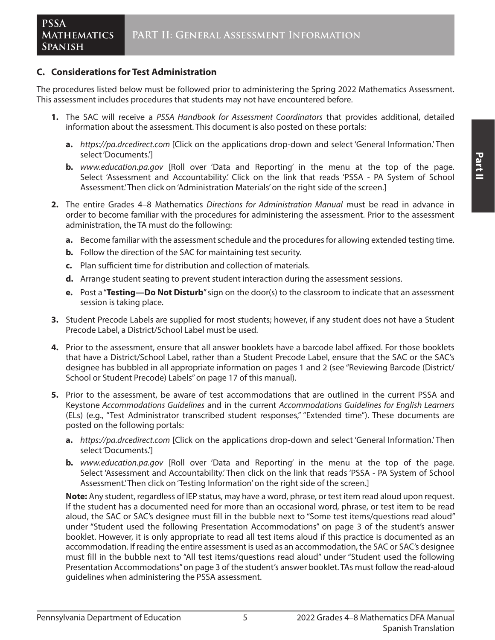#### <span id="page-8-0"></span>**C. Considerations for Test Administration**

The procedures listed below must be followed prior to administering the Spring 2022 Mathematics Assessment. This assessment includes procedures that students may not have encountered before.

- **1.** The SAC will receive a *PSSA Handbook for Assessment Coordinators* that provides additional, detailed information about the assessment. This document is also posted on these portals:
	- **a.** *<https://pa.drcedirect.com>* [Click on the applications drop-down and select 'General Information.' Then select 'Documents.']
	- **b.** *[www.education.pa.gov](http://www.education.pa.gov)* [Roll over 'Data and Reporting' in the menu at the top of the page. Select 'Assessment and Accountability.' Click on the link that reads 'PSSA - PA System of School Assessment.' Then click on 'Administration Materials' on the right side of the screen.]
- **2.** The entire Grades 4–8 Mathematics *Directions for Administration Manual* must be read in advance in order to become familiar with the procedures for administering the assessment. Prior to the assessment administration, the TA must do the following:
	- **a.** Become familiar with the assessment schedule and the procedures for allowing extended testing time.
	- **b.** Follow the direction of the SAC for maintaining test security.
	- **c.** Plan sufficient time for distribution and collection of materials.
	- **d.** Arrange student seating to prevent student interaction during the assessment sessions.
	- **e.** Post a "**Testing—Do Not Disturb**" sign on the door(s) to the classroom to indicate that an assessment session is taking place.
- **3.** Student Precode Labels are supplied for most students; however, if any student does not have a Student Precode Label, a District/School Label must be used.
- **4.** Prior to the assessment, ensure that all answer booklets have a barcode label affixed. For those booklets that have a District/School Label, rather than a Student Precode Label, ensure that the SAC or the SAC's designee has bubbled in all appropriate information on pages 1 and 2 (see "Reviewing Barcode (District/ School or Student Precode) Labels" on page [17](#page-20-1) of this manual).
- **5.** Prior to the assessment, be aware of test accommodations that are outlined in the current PSSA and Keystone *Accommodations Guidelines* and in the current *Accommodations Guidelines for English Learners* (ELs) (e.g., "Test Administrator transcribed student responses," "Extended time"). These documents are posted on the following portals:
	- **a.** *<https://pa.drcedirect.com>* [Click on the applications drop-down and select 'General Information.' Then select 'Documents.']
	- **b.** *[www.education.pa.gov](http://www.education.pa.gov)* [Roll over 'Data and Reporting' in the menu at the top of the page. Select 'Assessment and Accountability.' Then click on the link that reads 'PSSA - PA System of School Assessment.' Then click on 'Testing Information' on the right side of the screen.]

**Note:** Any student, regardless of IEP status, may have a word, phrase, or test item read aloud upon request. If the student has a documented need for more than an occasional word, phrase, or test item to be read aloud, the SAC or SAC's designee must fill in the bubble next to "Some test items/questions read aloud" under "Student used the following Presentation Accommodations" on page 3 of the student's answer booklet. However, it is only appropriate to read all test items aloud if this practice is documented as an accommodation. If reading the entire assessment is used as an accommodation, the SAC or SAC's designee must fill in the bubble next to "All test items/questions read aloud" under "Student used the following Presentation Accommodations" on page 3 of the student's answer booklet. TAs must follow the read-aloud guidelines when administering the PSSA assessment.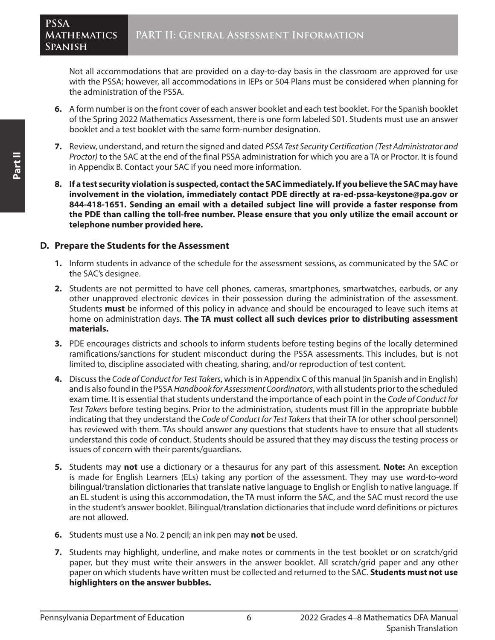Not all accommodations that are provided on a day-to-day basis in the classroom are approved for use with the PSSA; however, all accommodations in IEPs or 504 Plans must be considered when planning for the administration of the PSSA.

- **6.** A form number is on the front cover of each answer booklet and each test booklet. For the Spanish booklet of the Spring 2022 Mathematics Assessment, there is one form labeled S01. Students must use an answer booklet and a test booklet with the same form-number designation.
- **7.** Review, understand, and return the signed and dated *PSSA Test Security Certification (Test Administrator and Proctor)* to the SAC at the end of the final PSSA administration for which you are a TA or Proctor. It is found in Appendix B. Contact your SAC if you need more information.
- **8. If a test security violation is suspected, contact the SAC immediately. If you believe the SAC may have involvement in the violation, immediately contact PDE directly at [ra-ed-pssa-keystone@pa.gov](mailto:ra-ed-pssa-keystone%40pa.gov?subject=) or 844-418-1651. Sending an email with a detailed subject line will provide a faster response from the PDE than calling the toll-free number. Please ensure that you only utilize the email account or telephone number provided here.**

#### **D. Prepare the Students for the Assessment**

- **1.** Inform students in advance of the schedule for the assessment sessions, as communicated by the SAC or the SAC's designee.
- **2.** Students are not permitted to have cell phones, cameras, smartphones, smartwatches, earbuds, or any other unapproved electronic devices in their possession during the administration of the assessment. Students **must** be informed of this policy in advance and should be encouraged to leave such items at home on administration days. **The TA must collect all such devices prior to distributing assessment materials.**
- **3.** PDE encourages districts and schools to inform students before testing begins of the locally determined ramifications/sanctions for student misconduct during the PSSA assessments. This includes, but is not limited to, discipline associated with cheating, sharing, and/or reproduction of test content.
- **4.** Discuss the *Code of Conduct for Test Takers*, which is in Appendix C of this manual (in Spanish and in English) and is also found in the PSSA *Handbook for Assessment Coordinators*, with all students prior to the scheduled exam time. It is essential that students understand the importance of each point in the *Code of Conduct for Test Takers* before testing begins. Prior to the administration, students must fill in the appropriate bubble indicating that they understand the *Code of Conduct for Test Takers* that their TA (or other school personnel) has reviewed with them. TAs should answer any questions that students have to ensure that all students understand this code of conduct. Students should be assured that they may discuss the testing process or issues of concern with their parents/guardians.
- **5.** Students may **not** use a dictionary or a thesaurus for any part of this assessment. **Note:** An exception is made for English Learners (ELs) taking any portion of the assessment. They may use word-to-word bilingual/translation dictionaries that translate native language to English or English to native language. If an EL student is using this accommodation, the TA must inform the SAC, and the SAC must record the use in the student's answer booklet. Bilingual/translation dictionaries that include word definitions or pictures are not allowed.
- **6.** Students must use a No. 2 pencil; an ink pen may **not** be used.
- **7.** Students may highlight, underline, and make notes or comments in the test booklet or on scratch/grid paper, but they must write their answers in the answer booklet. All scratch/grid paper and any other paper on which students have written must be collected and returned to the SAC. **Students must not use highlighters on the answer bubbles.**

<span id="page-9-0"></span>**PSSA** 

**Spanish**

**Mathematics**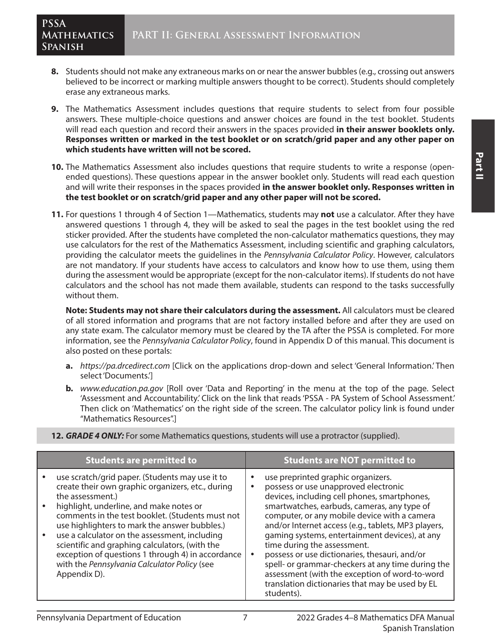- **8.** Students should not make any extraneous marks on or near the answer bubbles (e.g., crossing out answers believed to be incorrect or marking multiple answers thought to be correct). Students should completely erase any extraneous marks.
- **9.** The Mathematics Assessment includes questions that require students to select from four possible answers. These multiple-choice questions and answer choices are found in the test booklet. Students will read each question and record their answers in the spaces provided **in their answer booklets only. Responses written or marked in the test booklet or on scratch/grid paper and any other paper on which students have written will not be scored.**
- **10.** The Mathematics Assessment also includes questions that require students to write a response (openended questions). These questions appear in the answer booklet only. Students will read each question and will write their responses in the spaces provided **in the answer booklet only. Responses written in the test booklet or on scratch/grid paper and any other paper will not be scored.**
- **11.** For questions 1 through 4 of Section 1—Mathematics, students may **not** use a calculator. After they have answered questions 1 through 4, they will be asked to seal the pages in the test booklet using the red sticker provided. After the students have completed the non-calculator mathematics questions, they may use calculators for the rest of the Mathematics Assessment, including scientific and graphing calculators, providing the calculator meets the guidelines in the *Pennsylvania Calculator Policy*. However, calculators are not mandatory. If your students have access to calculators and know how to use them, using them during the assessment would be appropriate (except for the non-calculator items). If students do not have calculators and the school has not made them available, students can respond to the tasks successfully without them.

**Note: Students may not share their calculators during the assessment.** All calculators must be cleared of all stored information and programs that are not factory installed before and after they are used on any state exam. The calculator memory must be cleared by the TA after the PSSA is completed. For more information, see the *Pennsylvania Calculator Policy*, found in Appendix D of this manual. This document is also posted on these portals:

- **a.** *<https://pa.drcedirect.com>* [Click on the applications drop-down and select 'General Information.' Then select 'Documents.']
- **b.** *[www.education.pa.gov](http://www.education.pa.gov)* [Roll over 'Data and Reporting' in the menu at the top of the page. Select 'Assessment and Accountability.' Click on the link that reads 'PSSA - PA System of School Assessment.' Then click on 'Mathematics' on the right side of the screen. The calculator policy link is found under "Mathematics Resources".]

**12.** *GRADE 4 ONLY:* For some Mathematics questions, students will use a protractor (supplied).

| <b>Students are permitted to</b>                                                                                                                                                                                                                                                                                                                                                                                                                                                                 | <b>Students are NOT permitted to</b>                                                                                                                                                                                                                                                                                                                                                                                                                                                                                                   |
|--------------------------------------------------------------------------------------------------------------------------------------------------------------------------------------------------------------------------------------------------------------------------------------------------------------------------------------------------------------------------------------------------------------------------------------------------------------------------------------------------|----------------------------------------------------------------------------------------------------------------------------------------------------------------------------------------------------------------------------------------------------------------------------------------------------------------------------------------------------------------------------------------------------------------------------------------------------------------------------------------------------------------------------------------|
| use scratch/grid paper. (Students may use it to<br>create their own graphic organizers, etc., during<br>the assessment.)<br>highlight, underline, and make notes or<br>comments in the test booklet. (Students must not<br>use highlighters to mark the answer bubbles.)<br>use a calculator on the assessment, including<br>scientific and graphing calculators, (with the<br>exception of questions 1 through 4) in accordance<br>with the Pennsylvania Calculator Policy (see<br>Appendix D). | use preprinted graphic organizers.<br>possess or use unapproved electronic<br>$\bullet$<br>devices, including cell phones, smartphones,<br>smartwatches, earbuds, cameras, any type of<br>computer, or any mobile device with a camera<br>and/or Internet access (e.g., tablets, MP3 players,<br>gaming systems, entertainment devices), at any<br>time during the assessment.<br>possess or use dictionaries, thesauri, and/or<br>spell- or grammar-checkers at any time during the<br>assessment (with the exception of word-to-word |
|                                                                                                                                                                                                                                                                                                                                                                                                                                                                                                  | translation dictionaries that may be used by EL<br>students).                                                                                                                                                                                                                                                                                                                                                                                                                                                                          |

**PSSA** 

**Spanish**

**Mathematics**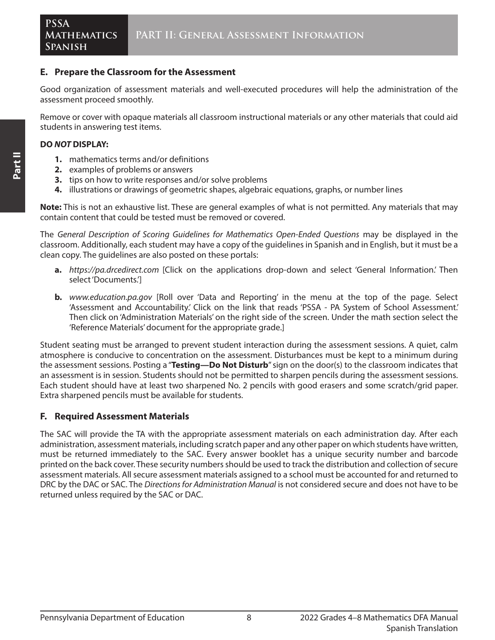#### **E. Prepare the Classroom for the Assessment**

Good organization of assessment materials and well-executed procedures will help the administration of the assessment proceed smoothly.

Remove or cover with opaque materials all classroom instructional materials or any other materials that could aid students in answering test items.

#### **DO** *NOT* **DISPLAY:**

<span id="page-11-0"></span>**PSSA** 

**Spanish**

**Mathematics** 

- **1.** mathematics terms and/or definitions
- **2.** examples of problems or answers
- **3.** tips on how to write responses and/or solve problems
- **4.** illustrations or drawings of geometric shapes, algebraic equations, graphs, or number lines

**Note:** This is not an exhaustive list. These are general examples of what is not permitted. Any materials that may contain content that could be tested must be removed or covered.

The *General Description of Scoring Guidelines for Mathematics Open-Ended Questions* may be displayed in the classroom. Additionally, each student may have a copy of the guidelines in Spanish and in English, but it must be a clean copy. The guidelines are also posted on these portals:

- **a.** *<https://pa.drcedirect.com>* [Click on the applications drop-down and select 'General Information.' Then select 'Documents.']
- **b.** *[www.education.pa.gov](http://www.education.pa.gov)* [Roll over 'Data and Reporting' in the menu at the top of the page. Select 'Assessment and Accountability.' Click on the link that reads 'PSSA - PA System of School Assessment.' Then click on 'Administration Materials' on the right side of the screen. Under the math section select the 'Reference Materials' document for the appropriate grade.]

Student seating must be arranged to prevent student interaction during the assessment sessions. A quiet, calm atmosphere is conducive to concentration on the assessment. Disturbances must be kept to a minimum during the assessment sessions. Posting a "**Testing—Do Not Disturb**" sign on the door(s) to the classroom indicates that an assessment is in session. Students should not be permitted to sharpen pencils during the assessment sessions. Each student should have at least two sharpened No. 2 pencils with good erasers and some scratch/grid paper. Extra sharpened pencils must be available for students.

#### **F. Required Assessment Materials**

The SAC will provide the TA with the appropriate assessment materials on each administration day. After each administration, assessment materials, including scratch paper and any other paper on which students have written, must be returned immediately to the SAC. Every answer booklet has a unique security number and barcode printed on the back cover. These security numbers should be used to track the distribution and collection of secure assessment materials. All secure assessment materials assigned to a school must be accounted for and returned to DRC by the DAC or SAC. The *Directions for Administration Manual* is not considered secure and does not have to be returned unless required by the SAC or DAC.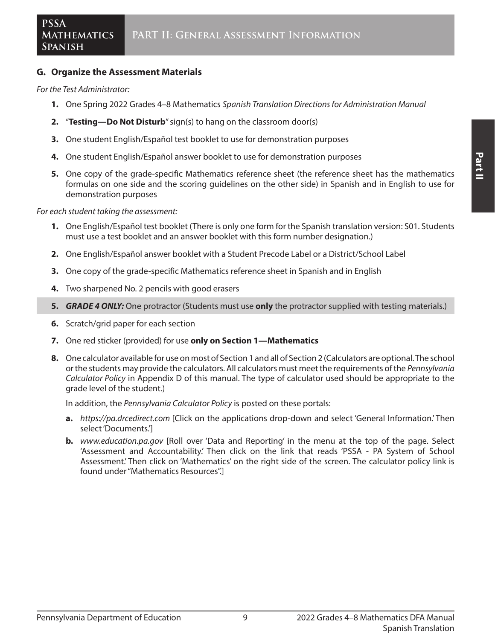#### **G. Organize the Assessment Materials**

*For the Test Administrator:*

**Mathematics** 

<span id="page-12-0"></span>**PSSA** 

**Spanish**

- **1.** One Spring 2022 Grades 4–8 Mathematics *Spanish Translation Directions for Administration Manual*
- **2.** "**Testing—Do Not Disturb**" sign(s) to hang on the classroom door(s)
- **3.** One student English/Español test booklet to use for demonstration purposes
- **4.** One student English/Español answer booklet to use for demonstration purposes
- **5.** One copy of the grade-specific Mathematics reference sheet (the reference sheet has the mathematics formulas on one side and the scoring guidelines on the other side) in Spanish and in English to use for demonstration purposes

*For each student taking the assessment:*

- **1.** One English/Español test booklet (There is only one form for the Spanish translation version: S01. Students must use a test booklet and an answer booklet with this form number designation.)
- **2.** One English/Español answer booklet with a Student Precode Label or a District/School Label
- **3.** One copy of the grade-specific Mathematics reference sheet in Spanish and in English
- **4.** Two sharpened No. 2 pencils with good erasers
- **5.** *GRADE 4 ONLY:* One protractor (Students must use **only** the protractor supplied with testing materials.)
- **6.** Scratch/grid paper for each section
- **7.** One red sticker (provided) for use **only on Section 1—Mathematics**
- **8.** One calculator available for use on most of Section 1 and all of Section 2 (Calculators are optional. The school or the students may provide the calculators. All calculators must meet the requirements of the *Pennsylvania Calculator Policy* in Appendix D of this manual. The type of calculator used should be appropriate to the grade level of the student.)

In addition, the *Pennsylvania Calculator Policy* is posted on these portals:

- **a.** *<https://pa.drcedirect.com>* [Click on the applications drop-down and select 'General Information.' Then select 'Documents.']
- **b.** *[www.education.pa.gov](http://www.education.pa.gov)* [Roll over 'Data and Reporting' in the menu at the top of the page. Select 'Assessment and Accountability.' Then click on the link that reads 'PSSA - PA System of School Assessment.' Then click on 'Mathematics' on the right side of the screen. The calculator policy link is found under "Mathematics Resources".]

**Part II**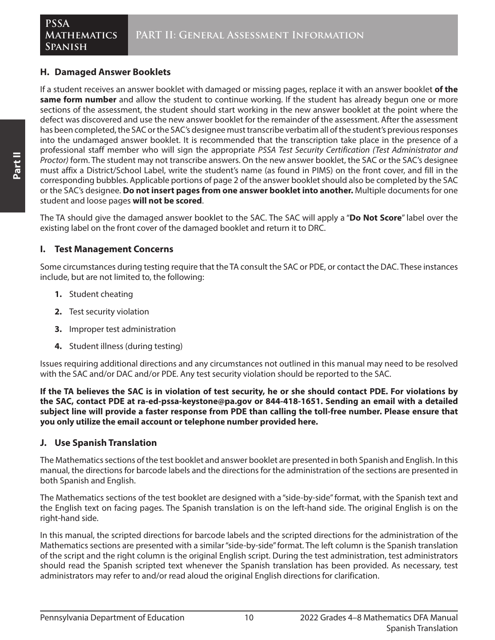<span id="page-13-0"></span>**PSSA** 

**Spanish**

**Mathematics** 

If a student receives an answer booklet with damaged or missing pages, replace it with an answer booklet **of the same form number** and allow the student to continue working. If the student has already begun one or more sections of the assessment, the student should start working in the new answer booklet at the point where the defect was discovered and use the new answer booklet for the remainder of the assessment. After the assessment has been completed, the SAC or the SAC's designee must transcribe verbatim all of the student's previous responses into the undamaged answer booklet. It is recommended that the transcription take place in the presence of a professional staff member who will sign the appropriate *PSSA Test Security Certification (Test Administrator and Proctor)* form. The student may not transcribe answers. On the new answer booklet, the SAC or the SAC's designee must affix a District/School Label, write the student's name (as found in PIMS) on the front cover, and fill in the corresponding bubbles. Applicable portions of page 2 of the answer booklet should also be completed by the SAC or the SAC's designee. **Do not insert pages from one answer booklet into another.** Multiple documents for one student and loose pages **will not be scored**.

The TA should give the damaged answer booklet to the SAC. The SAC will apply a "**Do Not Score**" label over the existing label on the front cover of the damaged booklet and return it to DRC.

#### **I. Test Management Concerns**

Some circumstances during testing require that the TA consult the SAC or PDE, or contact the DAC. These instances include, but are not limited to, the following:

- **1.** Student cheating
- **2.** Test security violation
- **3.** Improper test administration
- **4.** Student illness (during testing)

Issues requiring additional directions and any circumstances not outlined in this manual may need to be resolved with the SAC and/or DAC and/or PDE. Any test security violation should be reported to the SAC.

**If the TA believes the SAC is in violation of test security, he or she should contact PDE. For violations by the SAC, contact PDE at [ra-ed-pssa-keystone@pa.gov](mailto:ra-ed-pssa-keystone%40pa.gov?subject=) or 844-418-1651. Sending an email with a detailed subject line will provide a faster response from PDE than calling the toll-free number. Please ensure that you only utilize the email account or telephone number provided here.**

#### **J. Use Spanish Translation**

The Mathematics sections of the test booklet and answer booklet are presented in both Spanish and English. In this manual, the directions for barcode labels and the directions for the administration of the sections are presented in both Spanish and English.

The Mathematics sections of the test booklet are designed with a "side-by-side" format, with the Spanish text and the English text on facing pages. The Spanish translation is on the left-hand side. The original English is on the right-hand side.

In this manual, the scripted directions for barcode labels and the scripted directions for the administration of the Mathematics sections are presented with a similar "side-by-side" format. The left column is the Spanish translation of the script and the right column is the original English script. During the test administration, test administrators should read the Spanish scripted text whenever the Spanish translation has been provided. As necessary, test administrators may refer to and/or read aloud the original English directions for clarification.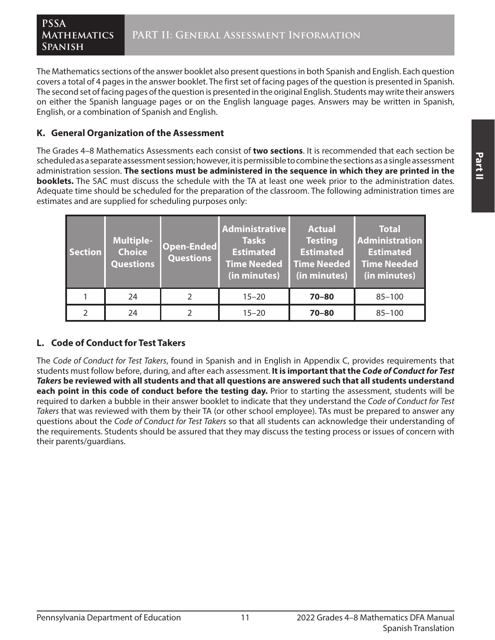The Mathematics sections of the answer booklet also present questions in both Spanish and English. Each question covers a total of 4 pages in the answer booklet. The first set of facing pages of the question is presented in Spanish. The second set of facing pages of the question is presented in the original English. Students may write their answers on either the Spanish language pages or on the English language pages. Answers may be written in Spanish, English, or a combination of Spanish and English.

### **K. General Organization of the Assessment**

<span id="page-14-0"></span>**PSSA** 

The Grades 4–8 Mathematics Assessments each consist of **two sections**. It is recommended that each section be scheduled as a separate assessment session; however, it is permissible to combine the sections as a single assessment administration session. **The sections must be administered in the sequence in which they are printed in the booklets.** The SAC must discuss the schedule with the TA at least one week prior to the administration dates. Adequate time should be scheduled for the preparation of the classroom. The following administration times are estimates and are supplied for scheduling purposes only:

| <b>Section</b> | <b>Multiple-</b><br><b>Choice</b><br><b>Questions</b> | Open-Ended<br>Questions | <b>Administrative</b><br><b>Tasks</b><br><b>Estimated</b><br>Time Needed<br>(in minutes) | <b>Actual</b><br><b>Testing</b><br><b>Estimated</b><br>Time Needed<br>(in minutes) | <b>Total</b><br>Administration<br><b>Estimated</b><br><b>Time Needed</b><br>(in minutes) |
|----------------|-------------------------------------------------------|-------------------------|------------------------------------------------------------------------------------------|------------------------------------------------------------------------------------|------------------------------------------------------------------------------------------|
|                | 24                                                    |                         | $15 - 20$                                                                                | $70 - 80$                                                                          | $85 - 100$                                                                               |
|                | 24                                                    |                         | $15 - 20$                                                                                | $70 - 80$                                                                          | $85 - 100$                                                                               |

### **L. Code of Conduct for Test Takers**

The *Code of Conduct for Test Takers*, found in Spanish and in English in Appendix C, provides requirements that students must follow before, during, and after each assessment. **It is important that the** *Code of Conduct for Test Takers* **be reviewed with all students and that all questions are answered such that all students understand each point in this code of conduct before the testing day.** Prior to starting the assessment, students will be required to darken a bubble in their answer booklet to indicate that they understand the *Code of Conduct for Test Takers* that was reviewed with them by their TA (or other school employee). TAs must be prepared to answer any questions about the *Code of Conduct for Test Takers* so that all students can acknowledge their understanding of the requirements. Students should be assured that they may discuss the testing process or issues of concern with their parents/guardians.

**Part II**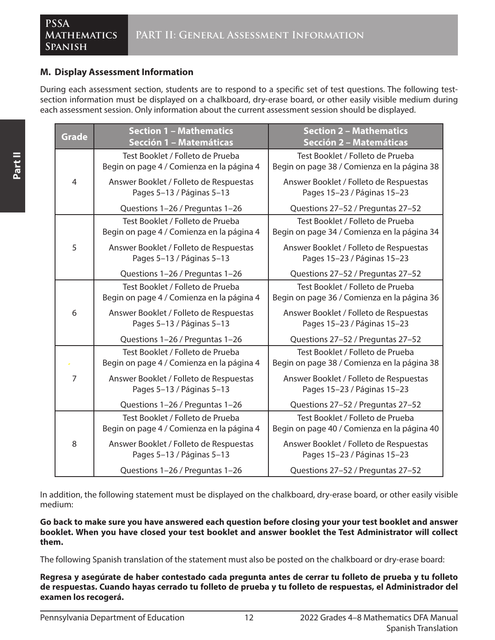#### <span id="page-15-0"></span>**M. Display Assessment Information**

During each assessment section, students are to respond to a specific set of test questions. The following testsection information must be displayed on a chalkboard, dry-erase board, or other easily visible medium during each assessment session. Only information about the current assessment session should be displayed.

| <b>Grade</b>   | <b>Section 1 - Mathematics</b><br>Sección 1 - Matemáticas                     | <b>Section 2 - Mathematics</b><br>Sección 2 - Matemáticas                       |
|----------------|-------------------------------------------------------------------------------|---------------------------------------------------------------------------------|
|                | Test Booklet / Folleto de Prueba<br>Begin on page 4 / Comienza en la página 4 | Test Booklet / Folleto de Prueba<br>Begin on page 38 / Comienza en la página 38 |
| $\overline{4}$ | Answer Booklet / Folleto de Respuestas<br>Pages 5-13 / Páginas 5-13           | Answer Booklet / Folleto de Respuestas<br>Pages 15-23 / Páginas 15-23           |
|                | Questions 1-26 / Preguntas 1-26                                               | Questions 27-52 / Preguntas 27-52                                               |
|                | Test Booklet / Folleto de Prueba<br>Begin on page 4 / Comienza en la página 4 | Test Booklet / Folleto de Prueba<br>Begin on page 34 / Comienza en la página 34 |
| 5              | Answer Booklet / Folleto de Respuestas<br>Pages 5-13 / Páginas 5-13           | Answer Booklet / Folleto de Respuestas<br>Pages 15-23 / Páginas 15-23           |
|                | Questions 1-26 / Preguntas 1-26                                               | Questions 27-52 / Preguntas 27-52                                               |
|                | Test Booklet / Folleto de Prueba<br>Begin on page 4 / Comienza en la página 4 | Test Booklet / Folleto de Prueba<br>Begin on page 36 / Comienza en la página 36 |
| 6              | Answer Booklet / Folleto de Respuestas<br>Pages 5-13 / Páginas 5-13           | Answer Booklet / Folleto de Respuestas<br>Pages 15-23 / Páginas 15-23           |
|                | Questions 1-26 / Preguntas 1-26                                               | Questions 27-52 / Preguntas 27-52                                               |
|                | Test Booklet / Folleto de Prueba<br>Begin on page 4 / Comienza en la página 4 | Test Booklet / Folleto de Prueba<br>Begin on page 38 / Comienza en la página 38 |
| 7              | Answer Booklet / Folleto de Respuestas<br>Pages 5-13 / Páginas 5-13           | Answer Booklet / Folleto de Respuestas<br>Pages 15-23 / Páginas 15-23           |
|                | Questions 1-26 / Preguntas 1-26                                               | Questions 27-52 / Preguntas 27-52                                               |
|                | Test Booklet / Folleto de Prueba<br>Begin on page 4 / Comienza en la página 4 | Test Booklet / Folleto de Prueba<br>Begin on page 40 / Comienza en la página 40 |
| 8              | Answer Booklet / Folleto de Respuestas<br>Pages 5-13 / Páginas 5-13           | Answer Booklet / Folleto de Respuestas<br>Pages 15-23 / Páginas 15-23           |
|                | Questions 1-26 / Preguntas 1-26                                               | Questions 27-52 / Preguntas 27-52                                               |

In addition, the following statement must be displayed on the chalkboard, dry-erase board, or other easily visible medium:

**Go back to make sure you have answered each question before closing your your test booklet and answer booklet. When you have closed your test booklet and answer booklet the Test Administrator will collect them.**

The following Spanish translation of the statement must also be posted on the chalkboard or dry-erase board:

**Regresa y asegúrate de haber contestado cada pregunta antes de cerrar tu folleto de prueba y tu folleto de respuestas. Cuando hayas cerrado tu folleto de prueba y tu folleto de respuestas, el Administrador del examen los recogerá.**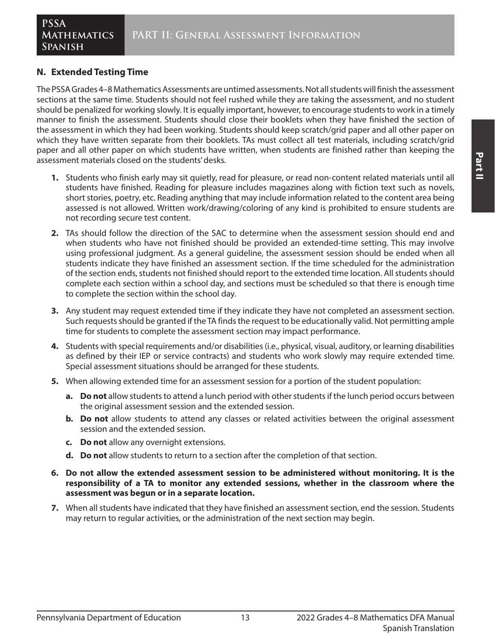#### <span id="page-16-0"></span>**N. Extended Testing Time**

The PSSA Grades 4–8 Mathematics Assessments are untimed assessments. Not all students will finish the assessment sections at the same time. Students should not feel rushed while they are taking the assessment, and no student should be penalized for working slowly. It is equally important, however, to encourage students to work in a timely manner to finish the assessment. Students should close their booklets when they have finished the section of the assessment in which they had been working. Students should keep scratch/grid paper and all other paper on which they have written separate from their booklets. TAs must collect all test materials, including scratch/grid paper and all other paper on which students have written, when students are finished rather than keeping the assessment materials closed on the students' desks.

- **1.** Students who finish early may sit quietly, read for pleasure, or read non-content related materials until all students have finished. Reading for pleasure includes magazines along with fiction text such as novels, short stories, poetry, etc. Reading anything that may include information related to the content area being assessed is not allowed. Written work/drawing/coloring of any kind is prohibited to ensure students are not recording secure test content.
- **2.** TAs should follow the direction of the SAC to determine when the assessment session should end and when students who have not finished should be provided an extended-time setting. This may involve using professional judgment. As a general guideline, the assessment session should be ended when all students indicate they have finished an assessment section. If the time scheduled for the administration of the section ends, students not finished should report to the extended time location. All students should complete each section within a school day, and sections must be scheduled so that there is enough time to complete the section within the school day.
- **3.** Any student may request extended time if they indicate they have not completed an assessment section. Such requests should be granted if the TA finds the request to be educationally valid. Not permitting ample time for students to complete the assessment section may impact performance.
- **4.** Students with special requirements and/or disabilities (i.e., physical, visual, auditory, or learning disabilities as defined by their IEP or service contracts) and students who work slowly may require extended time. Special assessment situations should be arranged for these students.
- **5.** When allowing extended time for an assessment session for a portion of the student population:
	- **a. Do not** allow students to attend a lunch period with other students if the lunch period occurs between the original assessment session and the extended session.
	- **b. Do not** allow students to attend any classes or related activities between the original assessment session and the extended session.
	- **c. Do not** allow any overnight extensions.
	- **d. Do not** allow students to return to a section after the completion of that section.
- **6. Do not allow the extended assessment session to be administered without monitoring. It is the responsibility of a TA to monitor any extended sessions, whether in the classroom where the assessment was begun or in a separate location.**
- **7.** When all students have indicated that they have finished an assessment section, end the session. Students may return to regular activities, or the administration of the next section may begin.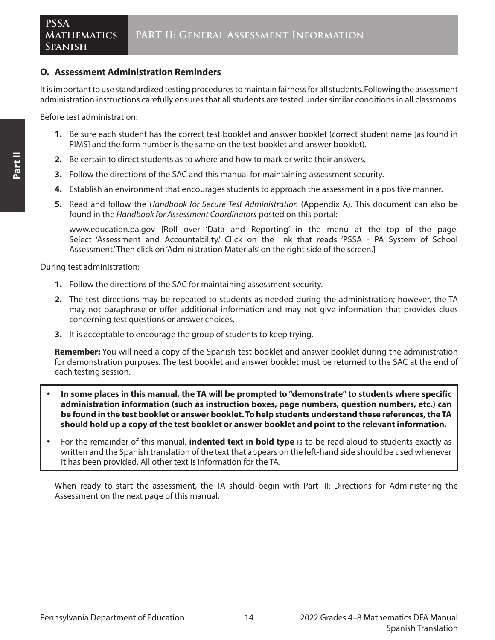#### **O. Assessment Administration Reminders**

It is important to use standardized testing procedures to maintain fairness for all students. Following the assessment administration instructions carefully ensures that all students are tested under similar conditions in all classrooms.

Before test administration:

<span id="page-17-0"></span>**PSSA** 

**Spanish**

- **1.** Be sure each student has the correct test booklet and answer booklet (correct student name [as found in PIMS] and the form number is the same on the test booklet and answer booklet).
- **2.** Be certain to direct students as to where and how to mark or write their answers.
- **3.** Follow the directions of the SAC and this manual for maintaining assessment security.
- **4.** Establish an environment that encourages students to approach the assessment in a positive manner.
- **5.** Read and follow the *Handbook for Secure Test Administration* (Appendix A). This document can also be found in the *Handbook for Assessment Coordinators* posted on this portal:

[www.education.pa.gov](http://www.education.pa.gov) [Roll over 'Data and Reporting' in the menu at the top of the page. Select 'Assessment and Accountability.' Click on the link that reads 'PSSA - PA System of School Assessment.' Then click on 'Administration Materials' on the right side of the screen.]

During test administration:

- **1.** Follow the directions of the SAC for maintaining assessment security.
- **2.** The test directions may be repeated to students as needed during the administration; however, the TA may not paraphrase or offer additional information and may not give information that provides clues concerning test questions or answer choices.
- **3.** It is acceptable to encourage the group of students to keep trying.

**Remember:** You will need a copy of the Spanish test booklet and answer booklet during the administration for demonstration purposes. The test booklet and answer booklet must be returned to the SAC at the end of each testing session.

- y **In some places in this manual, the TA will be prompted to "demonstrate" to students where specific administration information (such as instruction boxes, page numbers, question numbers, etc.) can be found in the test booklet or answer booklet. To help students understand these references, the TA should hold up a copy of the test booklet or answer booklet and point to the relevant information.**
- For the remainder of this manual, **indented text in bold type** is to be read aloud to students exactly as written and the Spanish translation of the text that appears on the left-hand side should be used whenever it has been provided. All other text is information for the TA.

When ready to start the assessment, the TA should begin with Part III: Directions for Administering the Assessment on the next page of this manual.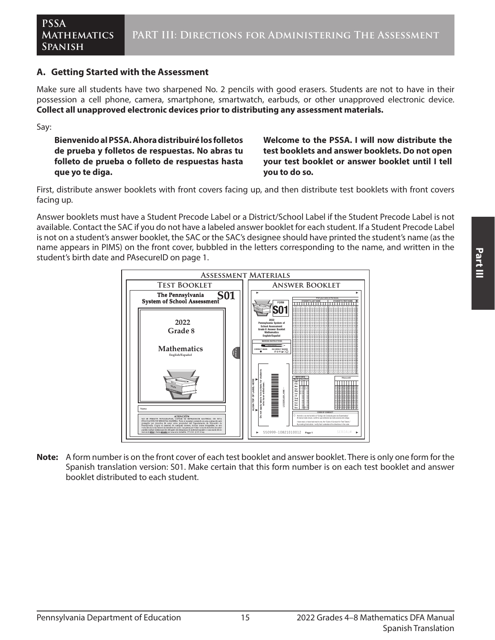#### **A. Getting Started with the Assessment**

Make sure all students have two sharpened No. 2 pencils with good erasers. Students are not to have in their possession a cell phone, camera, smartphone, smartwatch, earbuds, or other unapproved electronic device. **Collect all unapproved electronic devices prior to distributing any assessment materials.**

Say:

<span id="page-18-0"></span>**PSSA** 

**Spanish**

**Mathematics** 

**Bienvenido al PSSA. Ahora distribuiré los folletos de prueba y folletos de respuestas. No abras tu folleto de prueba o folleto de respuestas hasta que yo te diga.**

**Welcome to the PSSA. I will now distribute the test booklets and answer booklets. Do not open your test booklet or answer booklet until I tell you to do so.**

First, distribute answer booklets with front covers facing up, and then distribute test booklets with front covers facing up.

Answer booklets must have a Student Precode Label or a District/School Label if the Student Precode Label is not available. Contact the SAC if you do not have a labeled answer booklet for each student. If a Student Precode Label is not on a student's answer booklet, the SAC or the SAC's designee should have printed the student's name (as the name appears in PIMS) on the front cover, bubbled in the letters corresponding to the name, and written in the student's birth date and PAsecureID on page 1.



**Note:** A form number is on the front cover of each test booklet and answer booklet. There is only one form for the Spanish translation version: S01. Make certain that this form number is on each test booklet and answer booklet distributed to each student.

**Part III**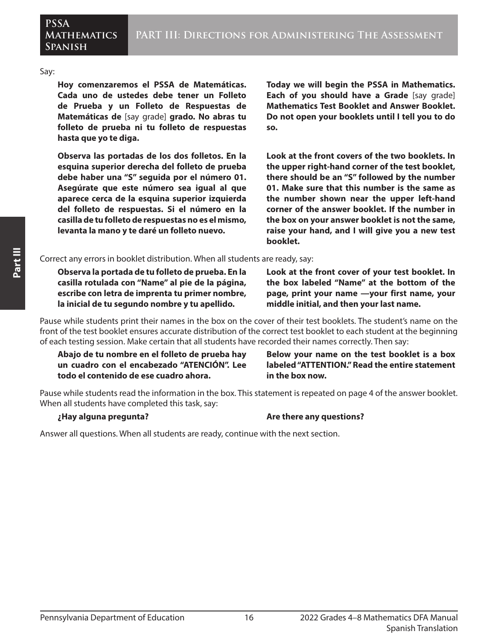#### **PSSA Mathematics Spanish**

Say:

**Hoy comenzaremos el PSSA de Matemáticas. Cada uno de ustedes debe tener un Folleto de Prueba y un Folleto de Respuestas de Matemáticas de** [say grade] **grado. No abras tu folleto de prueba ni tu folleto de respuestas hasta que yo te diga.**

**Observa las portadas de los dos folletos. En la esquina superior derecha del folleto de prueba debe haber una "S" seguida por el número 01. Asegúrate que este número sea igual al que aparece cerca de la esquina superior izquierda del folleto de respuestas. Si el número en la casilla de tu folleto de respuestas no es el mismo, levanta la mano y te daré un folleto nuevo.**

**Today we will begin the PSSA in Mathematics. Each of you should have a Grade** [say grade] **Mathematics Test Booklet and Answer Booklet. Do not open your booklets until I tell you to do so.** 

**Look at the front covers of the two booklets. In the upper right-hand corner of the test booklet, there should be an "S" followed by the number 01. Make sure that this number is the same as the number shown near the upper left-hand corner of the answer booklet. If the number in the box on your answer booklet is not the same, raise your hand, and I will give you a new test booklet.**

Correct any errors in booklet distribution. When all students are ready, say:

**Observa la portada de tu folleto de prueba. En la casilla rotulada con "Name" al pie de la página, escribe con letra de imprenta tu primer nombre, la inicial de tu segundo nombre y tu apellido.**

**Look at the front cover of your test booklet. In the box labeled "Name" at the bottom of the page, print your name —your first name, your middle initial, and then your last name.**

Pause while students print their names in the box on the cover of their test booklets. The student's name on the front of the test booklet ensures accurate distribution of the correct test booklet to each student at the beginning of each testing session. Make certain that all students have recorded their names correctly. Then say:

**Abajo de tu nombre en el folleto de prueba hay un cuadro con el encabezado "ATENCIÓN". Lee todo el contenido de ese cuadro ahora.**

**Below your name on the test booklet is a box labeled "ATTENTION." Read the entire statement in the box now.**

Pause while students read the information in the box. This statement is repeated on page 4 of the answer booklet. When all students have completed this task, say:

#### **¿Hay alguna pregunta? Are there any questions?**

Answer all questions. When all students are ready, continue with the next section.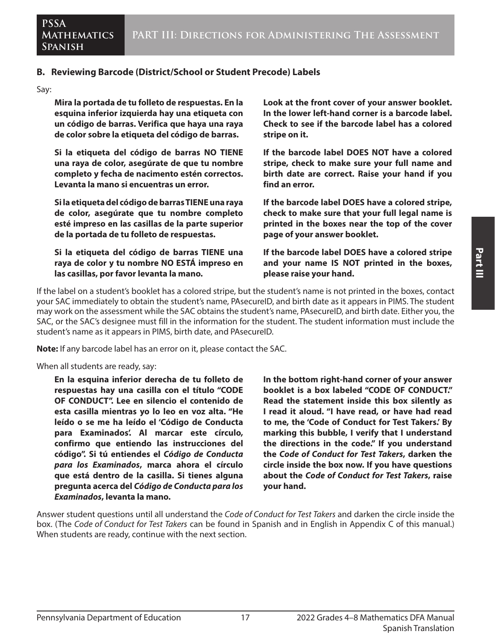### <span id="page-20-1"></span>**B. Reviewing Barcode (District/School or Student Precode) Labels**

Say:

<span id="page-20-0"></span>**PSSA** 

**Spanish**

**Mathematics** 

**Mira la portada de tu folleto de respuestas. En la esquina inferior izquierda hay una etiqueta con un código de barras. Verifica que haya una raya de color sobre la etiqueta del código de barras.**

**Si la etiqueta del código de barras NO TIENE una raya de color, asegúrate de que tu nombre completo y fecha de nacimento estén correctos. Levanta la mano si encuentras un error.**

**Si la etiqueta del código de barras TIENE una raya de color, asegúrate que tu nombre completo esté impreso en las casillas de la parte superior de la portada de tu folleto de respuestas.**

**Si la etiqueta del código de barras TIENE una raya de color y tu nombre NO ESTÁ impreso en las casillas, por favor levanta la mano.**

**Look at the front cover of your answer booklet. In the lower left-hand corner is a barcode label. Check to see if the barcode label has a colored stripe on it.**

**If the barcode label DOES NOT have a colored stripe, check to make sure your full name and birth date are correct. Raise your hand if you find an error.**

**If the barcode label DOES have a colored stripe, check to make sure that your full legal name is printed in the boxes near the top of the cover page of your answer booklet.**

**If the barcode label DOES have a colored stripe and your name IS NOT printed in the boxes, please raise your hand.**

If the label on a student's booklet has a colored stripe, but the student's name is not printed in the boxes, contact your SAC immediately to obtain the student's name, PAsecureID, and birth date as it appears in PIMS. The student may work on the assessment while the SAC obtains the student's name, PAsecureID, and birth date. Either you, the SAC, or the SAC's designee must fill in the information for the student. The student information must include the student's name as it appears in PIMS, birth date, and PAsecureID.

**Note:** If any barcode label has an error on it, please contact the SAC.

When all students are ready, say:

**En la esquina inferior derecha de tu folleto de respuestas hay una casilla con el título "CODE OF CONDUCT". Lee en silencio el contenido de esta casilla mientras yo lo leo en voz alta. "He leído o se me ha leído el 'Código de Conducta para Examinados'. Al marcar este círculo, confirmo que entiendo las instrucciones del código". Si tú entiendes el** *Código de Conducta para los Examinados***, marca ahora el círculo que está dentro de la casilla. Si tienes alguna pregunta acerca del** *Código de Conducta para los Examinados***, levanta la mano.**

**In the bottom right-hand corner of your answer booklet is a box labeled "CODE OF CONDUCT." Read the statement inside this box silently as I read it aloud. "I have read, or have had read to me, the 'Code of Conduct for Test Takers.' By marking this bubble, I verify that I understand the directions in the code." If you understand the** *Code of Conduct for Test Takers***, darken the circle inside the box now. If you have questions about the** *Code of Conduct for Test Takers***, raise your hand.**

Answer student questions until all understand the *Code of Conduct for Test Takers* and darken the circle inside the box. (The *Code of Conduct for Test Takers* can be found in Spanish and in English in Appendix C of this manual.) When students are ready, continue with the next section.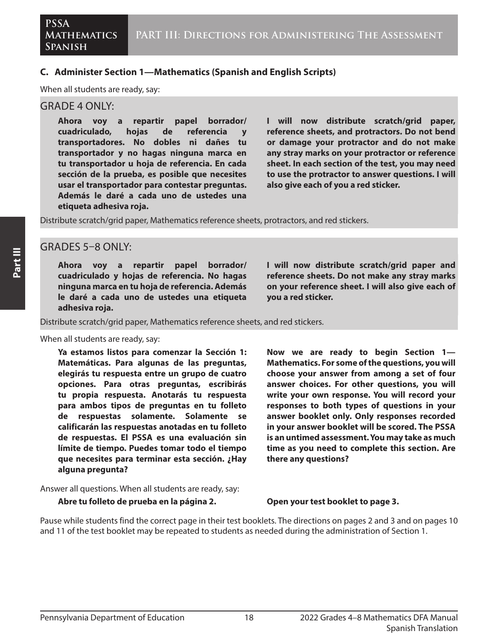#### <span id="page-21-0"></span>**C. Administer Section 1—Mathematics (Spanish and English Scripts)**

When all students are ready, say:

#### GRADE 4 ONLY:

**Ahora voy a repartir papel borrador/ cuadriculado, hojas de referencia y transportadores. No dobles ni dañes tu transportador y no hagas ninguna marca en tu transportador u hoja de referencia. En cada sección de la prueba, es posible que necesites usar el transportador para contestar preguntas. Además le daré a cada uno de ustedes una etiqueta adhesiva roja.**

**I will now distribute scratch/grid paper, reference sheets, and protractors. Do not bend or damage your protractor and do not make any stray marks on your protractor or reference sheet. In each section of the test, you may need to use the protractor to answer questions. I will also give each of you a red sticker.**

Distribute scratch/grid paper, Mathematics reference sheets, protractors, and red stickers.

#### GRADES 5–8 ONLY:

**Ahora voy a repartir papel borrador/ cuadriculado y hojas de referencia. No hagas ninguna marca en tu hoja de referencia. Además le daré a cada uno de ustedes una etiqueta adhesiva roja.**

**I will now distribute scratch/grid paper and reference sheets. Do not make any stray marks on your reference sheet. I will also give each of you a red sticker.**

Distribute scratch/grid paper, Mathematics reference sheets, and red stickers.

#### When all students are ready, say:

**Ya estamos listos para comenzar la Sección 1: Matemáticas. Para algunas de las preguntas, elegirás tu respuesta entre un grupo de cuatro opciones. Para otras preguntas, escribirás tu propia respuesta. Anotarás tu respuesta para ambos tipos de preguntas en tu folleto de respuestas solamente. Solamente se calificarán las respuestas anotadas en tu folleto de respuestas. El PSSA es una evaluación sin límite de tiempo. Puedes tomar todo el tiempo que necesites para terminar esta sección. ¿Hay alguna pregunta?**

**Now we are ready to begin Section 1— Mathematics. For some of the questions, you will choose your answer from among a set of four answer choices. For other questions, you will write your own response. You will record your responses to both types of questions in your answer booklet only. Only responses recorded in your answer booklet will be scored. The PSSA is an untimed assessment. You may take as much time as you need to complete this section. Are there any questions?**

Answer all questions. When all students are ready, say:

#### **Abre tu folleto de prueba en la página 2. Open your test booklet to page 3.**

Pause while students find the correct page in their test booklets. The directions on pages 2 and 3 and on pages 10 and 11 of the test booklet may be repeated to students as needed during the administration of Section 1.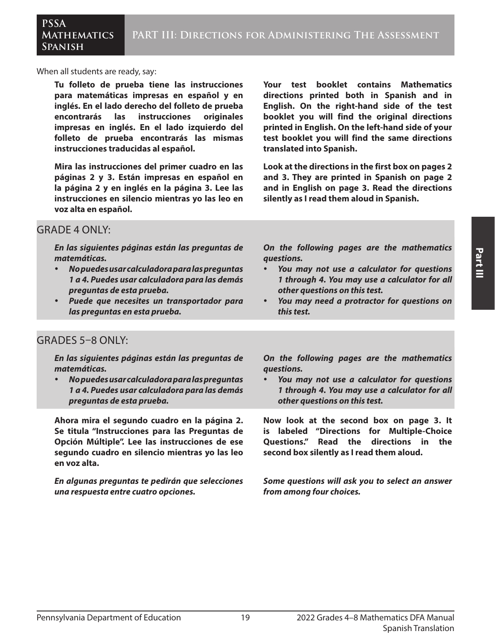**PART III: Directions for Administering The Assessment**

**PSSA Mathematics Spanish**

When all students are ready, say:

**Tu folleto de prueba tiene las instrucciones para matemáticas impresas en español y en inglés. En el lado derecho del folleto de prueba encontrarás las instrucciones originales impresas en inglés. En el lado izquierdo del folleto de prueba encontrarás las mismas instrucciones traducidas al español.**

**Mira las instrucciones del primer cuadro en las páginas 2 y 3. Están impresas en español en la página 2 y en inglés en la página 3. Lee las instrucciones en silencio mientras yo las leo en voz alta en español.**

**Your test booklet contains Mathematics directions printed both in Spanish and in English. On the right-hand side of the test booklet you will find the original directions printed in English. On the left-hand side of your test booklet you will find the same directions translated into Spanish.**

**Look at the directions in the first box on pages 2 and 3. They are printed in Spanish on page 2 and in English on page 3. Read the directions silently as I read them aloud in Spanish.** 

#### GRADE 4 ONLY:

*En las siguientes páginas están las preguntas de matemáticas.*

- y *No puedes usar calculadora para las preguntas 1 a 4. Puedes usar calculadora para las demás preguntas de esta prueba.*
- y *Puede que necesites un transportador para las preguntas en esta prueba.*

*On the following pages are the mathematics questions.*

- y *You may not use a calculator for questions 1 through 4. You may use a calculator for all other questions on this test.*
- y *You may need a protractor for questions on this test.*

#### GRADES 5–8 ONLY:

*En las siguientes páginas están las preguntas de matemáticas.*

y *No puedes usar calculadora para las preguntas 1 a 4. Puedes usar calculadora para las demás preguntas de esta prueba.*

**Ahora mira el segundo cuadro en la página 2. Se titula "Instrucciones para las Preguntas de Opción Múltiple". Lee las instrucciones de ese segundo cuadro en silencio mientras yo las leo en voz alta.**

*En algunas preguntas te pedirán que selecciones una respuesta entre cuatro opciones.*

*On the following pages are the mathematics questions.*

y *You may not use a calculator for questions 1 through 4. You may use a calculator for all other questions on this test.*

**Now look at the second box on page 3. It is labeled "Directions for Multiple-Choice Questions." Read the directions in the second box silently as I read them aloud.** 

*Some questions will ask you to select an answer from among four choices.*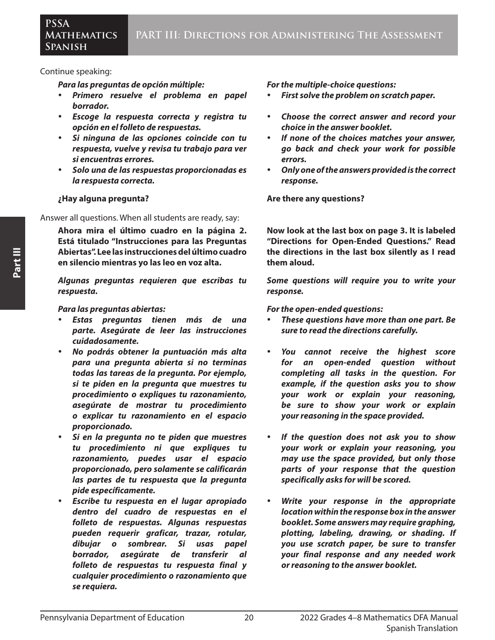#### **PSSA Mathematics Spanish**

#### Continue speaking:

*Para las preguntas de opción múltiple:*

- y *Primero resuelve el problema en papel borrador.*
- y *Escoge la respuesta correcta y registra tu opción en el folleto de respuestas.*
- Si ninguna de las opciones coincide con tu *respuesta, vuelve y revisa tu trabajo para ver si encuentras errores.*
- y *Solo una de las respuestas proporcionadas es la respuesta correcta.*

#### **¿Hay alguna pregunta?**

Answer all questions. When all students are ready, say:

**Ahora mira el último cuadro en la página 2. Está titulado "Instrucciones para las Preguntas Abiertas". Lee las instrucciones del último cuadro en silencio mientras yo las leo en voz alta.**

*Algunas preguntas requieren que escribas tu respuesta.*

#### *Para las preguntas abiertas:*

- y *Estas preguntas tienen más de una parte. Asegúrate de leer las instrucciones cuidadosamente.*
- y *No podrás obtener la puntuación más alta para una pregunta abierta si no terminas todas las tareas de la pregunta. Por ejemplo, si te piden en la pregunta que muestres tu procedimiento o expliques tu razonamiento, asegúrate de mostrar tu procedimiento o explicar tu razonamiento en el espacio proporcionado.*
- y *Si en la pregunta no te piden que muestres tu procedimiento ni que expliques tu razonamiento, puedes usar el espacio proporcionado, pero solamente se calificarán las partes de tu respuesta que la pregunta pide específicamente.*
- y *Escribe tu respuesta en el lugar apropiado dentro del cuadro de respuestas en el folleto de respuestas. Algunas respuestas pueden requerir graficar, trazar, rotular, dibujar o sombrear. Si usas papel borrador, asegúrate de transferir al folleto de respuestas tu respuesta final y cualquier procedimiento o razonamiento que se requiera.*

*For the multiple-choice questions:*

- y *First solve the problem on scratch paper.*
- y *Choose the correct answer and record your choice in the answer booklet.*
- y *If none of the choices matches your answer, go back and check your work for possible errors.*
- y *Only one of the answers provided is the correct response.*

**Are there any questions?**

**Now look at the last box on page 3. It is labeled "Directions for Open-Ended Questions." Read the directions in the last box silently as I read them aloud.**

*Some questions will require you to write your response.*

*For the open-ended questions:*

- **These questions have more than one part. Be** *sure to read the directions carefully.*
- y *You cannot receive the highest score for an open-ended question without completing all tasks in the question. For example, if the question asks you to show your work or explain your reasoning, be sure to show your work or explain your reasoning in the space provided.*
- y *If the question does not ask you to show your work or explain your reasoning, you may use the space provided, but only those parts of your response that the question specifically asks for will be scored.*
- y *Write your response in the appropriate location within the response box in the answer booklet. Some answers may require graphing, plotting, labeling, drawing, or shading. If you use scratch paper, be sure to transfer your final response and any needed work or reasoning to the answer booklet.*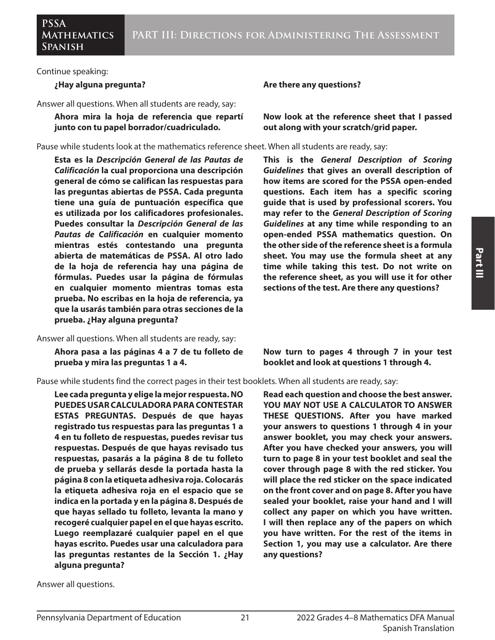Continue speaking:

Answer all questions. When all students are ready, say:

**Ahora mira la hoja de referencia que repartí junto con tu papel borrador/cuadriculado.**

Pause while students look at the mathematics reference sheet. When all students are ready, say:

**Esta es la** *Descripción General de las Pautas de Calificación* **la cual proporciona una descripción general de cómo se califican las respuestas para las preguntas abiertas de PSSA. Cada pregunta tiene una guía de puntuación específica que es utilizada por los calificadores profesionales. Puedes consultar la** *Descripción General de las Pautas de Calificación* **en cualquier momento mientras estés contestando una pregunta abierta de matemáticas de PSSA. Al otro lado de la hoja de referencia hay una página de fórmulas. Puedes usar la página de fórmulas en cualquier momento mientras tomas esta prueba. No escribas en la hoja de referencia, ya que la usarás también para otras secciones de la prueba. ¿Hay alguna pregunta?**

Answer all questions. When all students are ready, say:

**Ahora pasa a las páginas 4 a 7 de tu folleto de prueba y mira las preguntas 1 a 4.**

**¿Hay alguna pregunta? Are there any questions?**

**Now look at the reference sheet that I passed out along with your scratch/grid paper.**

**This is the** *General Description of Scoring Guidelines* **that gives an overall description of how items are scored for the PSSA open-ended questions. Each item has a specific scoring guide that is used by professional scorers. You may refer to the** *General Description of Scoring Guidelines* **at any time while responding to an open-ended PSSA mathematics question. On the other side of the reference sheet is a formula sheet. You may use the formula sheet at any time while taking this test. Do not write on the reference sheet, as you will use it for other sections of the test. Are there any questions?**

**Now turn to pages 4 through 7 in your test booklet and look at questions 1 through 4.**

Pause while students find the correct pages in their test booklets. When all students are ready, say:

**Lee cada pregunta y elige la mejor respuesta. NO PUEDES USAR CALCULADORA PARA CONTESTAR ESTAS PREGUNTAS. Después de que hayas registrado tus respuestas para las preguntas 1 a 4 en tu folleto de respuestas, puedes revisar tus respuestas. Después de que hayas revisado tus respuestas, pasarás a la página 8 de tu folleto de prueba y sellarás desde la portada hasta la página 8 con la etiqueta adhesiva roja. Colocarás la etiqueta adhesiva roja en el espacio que se indica en la portada y en la página 8. Después de que hayas sellado tu folleto, levanta la mano y recogeré cualquier papel en el que hayas escrito. Luego reemplazaré cualquier papel en el que hayas escrito. Puedes usar una calculadora para las preguntas restantes de la Sección 1. ¿Hay alguna pregunta?**

**Read each question and choose the best answer. YOU MAY NOT USE A CALCULATOR TO ANSWER THESE QUESTIONS. After you have marked your answers to questions 1 through 4 in your answer booklet, you may check your answers. After you have checked your answers, you will turn to page 8 in your test booklet and seal the cover through page 8 with the red sticker. You will place the red sticker on the space indicated on the front cover and on page 8. After you have sealed your booklet, raise your hand and I will collect any paper on which you have written. I will then replace any of the papers on which you have written. For the rest of the items in Section 1, you may use a calculator. Are there any questions?**

Answer all questions.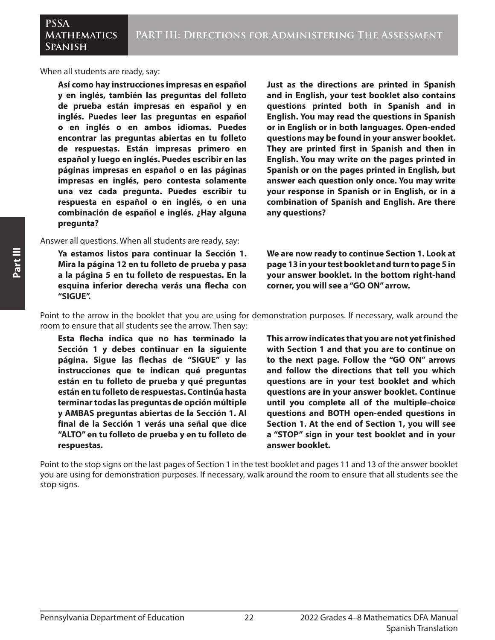#### When all students are ready, say:

**Así como hay instrucciones impresas en español y en inglés, también las preguntas del folleto de prueba están impresas en español y en inglés. Puedes leer las preguntas en español o en inglés o en ambos idiomas. Puedes encontrar las preguntas abiertas en tu folleto de respuestas. Están impresas primero en español y luego en inglés. Puedes escribir en las páginas impresas en español o en las páginas impresas en inglés, pero contesta solamente una vez cada pregunta. Puedes escribir tu respuesta en español o en inglés, o en una combinación de español e inglés. ¿Hay alguna pregunta?**

**Just as the directions are printed in Spanish and in English, your test booklet also contains questions printed both in Spanish and in English. You may read the questions in Spanish or in English or in both languages. Open-ended questions may be found in your answer booklet. They are printed first in Spanish and then in English. You may write on the pages printed in Spanish or on the pages printed in English, but answer each question only once. You may write your response in Spanish or in English, or in a combination of Spanish and English. Are there any questions?**

Answer all questions. When all students are ready, say:

**Ya estamos listos para continuar la Sección 1. Mira la página 12 en tu folleto de prueba y pasa a la página 5 en tu folleto de respuestas. En la esquina inferior derecha verás una flecha con "SIGUE".**

**We are now ready to continue Section 1. Look at page 13 in your test booklet and turn to page 5 in your answer booklet. In the bottom right-hand corner, you will see a "GO ON" arrow.**

Point to the arrow in the booklet that you are using for demonstration purposes. If necessary, walk around the room to ensure that all students see the arrow. Then say:

**Esta flecha indica que no has terminado la Sección 1 y debes continuar en la siguiente página. Sigue las flechas de "SIGUE" y las instrucciones que te indican qué preguntas están en tu folleto de prueba y qué preguntas están en tu folleto de respuestas. Continúa hasta terminar todas las preguntas de opción múltiple y AMBAS preguntas abiertas de la Sección 1. Al final de la Sección 1 verás una señal que dice "ALTO" en tu folleto de prueba y en tu folleto de respuestas.**

**This arrow indicates that you are not yet finished with Section 1 and that you are to continue on to the next page. Follow the "GO ON" arrows and follow the directions that tell you which questions are in your test booklet and which questions are in your answer booklet. Continue until you complete all of the multiple-choice questions and BOTH open-ended questions in Section 1. At the end of Section 1, you will see a "STOP" sign in your test booklet and in your answer booklet.**

Point to the stop signs on the last pages of Section 1 in the test booklet and pages 11 and 13 of the answer booklet you are using for demonstration purposes. If necessary, walk around the room to ensure that all students see the stop signs.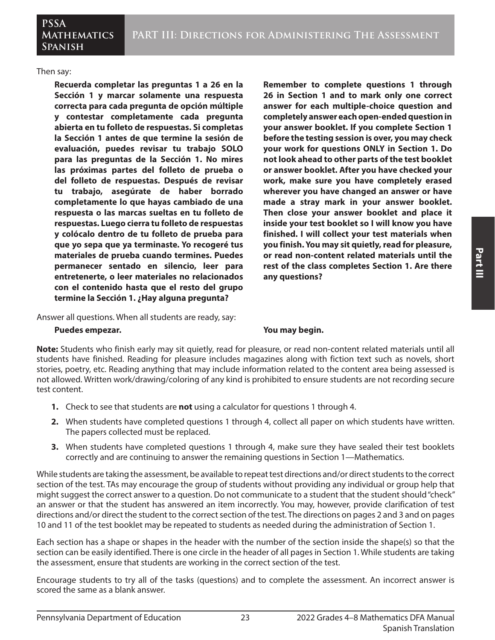#### Then say:

**Spanish**

**PSSA** 

**Mathematics** 

**Recuerda completar las preguntas 1 a 26 en la Sección 1 y marcar solamente una respuesta correcta para cada pregunta de opción múltiple y contestar completamente cada pregunta abierta en tu folleto de respuestas. Si completas la Sección 1 antes de que termine la sesión de evaluación, puedes revisar tu trabajo SOLO para las preguntas de la Sección 1. No mires las próximas partes del folleto de prueba o del folleto de respuestas. Después de revisar tu trabajo, asegúrate de haber borrado completamente lo que hayas cambiado de una respuesta o las marcas sueltas en tu folleto de respuestas. Luego cierra tu folleto de respuestas y colócalo dentro de tu folleto de prueba para que yo sepa que ya terminaste. Yo recogeré tus materiales de prueba cuando termines. Puedes permanecer sentado en silencio, leer para entretenerte, o leer materiales no relacionados con el contenido hasta que el resto del grupo termine la Sección 1. ¿Hay alguna pregunta?**

**Remember to complete questions 1 through 26 in Section 1 and to mark only one correct answer for each multiple-choice question and completely answer each open-ended question in your answer booklet. If you complete Section 1 before the testing session is over, you may check your work for questions ONLY in Section 1. Do not look ahead to other parts of the test booklet or answer booklet. After you have checked your work, make sure you have completely erased wherever you have changed an answer or have made a stray mark in your answer booklet. Then close your answer booklet and place it inside your test booklet so I will know you have finished. I will collect your test materials when you finish. You may sit quietly, read for pleasure, or read non-content related materials until the rest of the class completes Section 1. Are there any questions?**

Answer all questions. When all students are ready, say:

#### **Puedes empezar. You may begin.**

**Note:** Students who finish early may sit quietly, read for pleasure, or read non-content related materials until all students have finished. Reading for pleasure includes magazines along with fiction text such as novels, short stories, poetry, etc. Reading anything that may include information related to the content area being assessed is not allowed. Written work/drawing/coloring of any kind is prohibited to ensure students are not recording secure test content.

- **1.** Check to see that students are **not** using a calculator for questions 1 through 4.
- **2.** When students have completed questions 1 through 4, collect all paper on which students have written. The papers collected must be replaced.
- **3.** When students have completed questions 1 through 4, make sure they have sealed their test booklets correctly and are continuing to answer the remaining questions in Section 1—Mathematics.

While students are taking the assessment, be available to repeat test directions and/or direct students to the correct section of the test. TAs may encourage the group of students without providing any individual or group help that might suggest the correct answer to a question. Do not communicate to a student that the student should "check" an answer or that the student has answered an item incorrectly. You may, however, provide clarification of test directions and/or direct the student to the correct section of the test. The directions on pages 2 and 3 and on pages 10 and 11 of the test booklet may be repeated to students as needed during the administration of Section 1.

Each section has a shape or shapes in the header with the number of the section inside the shape(s) so that the section can be easily identified. There is one circle in the header of all pages in Section 1. While students are taking the assessment, ensure that students are working in the correct section of the test.

Encourage students to try all of the tasks (questions) and to complete the assessment. An incorrect answer is scored the same as a blank answer.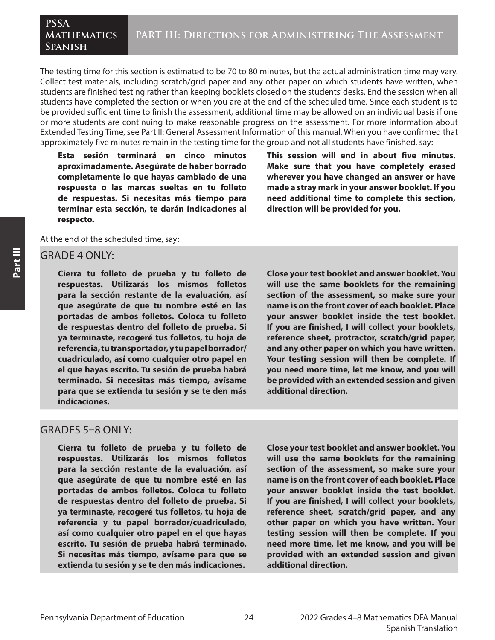The testing time for this section is estimated to be 70 to 80 minutes, but the actual administration time may vary. Collect test materials, including scratch/grid paper and any other paper on which students have written, when students are finished testing rather than keeping booklets closed on the students' desks. End the session when all students have completed the section or when you are at the end of the scheduled time. Since each student is to be provided sufficient time to finish the assessment, additional time may be allowed on an individual basis if one or more students are continuing to make reasonable progress on the assessment. For more information about Extended Testing Time, see Part II: General Assessment Information of this manual. When you have confirmed that approximately five minutes remain in the testing time for the group and not all students have finished, say:

**Esta sesión terminará en cinco minutos aproximadamente. Asegúrate de haber borrado completamente lo que hayas cambiado de una respuesta o las marcas sueltas en tu folleto de respuestas. Si necesitas más tiempo para terminar esta sección, te darán indicaciones al respecto.**

**This session will end in about five minutes. Make sure that you have completely erased wherever you have changed an answer or have made a stray mark in your answer booklet. If you need additional time to complete this section, direction will be provided for you.**

At the end of the scheduled time, say:

#### GRADE 4 ONLY:

**PSSA** 

**Spanish**

**Mathematics** 

**Cierra tu folleto de prueba y tu folleto de respuestas. Utilizarás los mismos folletos para la sección restante de la evaluación, así que asegúrate de que tu nombre esté en las portadas de ambos folletos. Coloca tu folleto de respuestas dentro del folleto de prueba. Si ya terminaste, recogeré tus folletos, tu hoja de referencia, tu transportador, y tu papel borrador/ cuadriculado, así como cualquier otro papel en el que hayas escrito. Tu sesión de prueba habrá terminado. Si necesitas más tiempo, avísame para que se extienda tu sesión y se te den más indicaciones.**

**Close your test booklet and answer booklet. You will use the same booklets for the remaining section of the assessment, so make sure your name is on the front cover of each booklet. Place your answer booklet inside the test booklet. If you are finished, I will collect your booklets, reference sheet, protractor, scratch/grid paper, and any other paper on which you have written. Your testing session will then be complete. If you need more time, let me know, and you will be provided with an extended session and given additional direction.**

#### GRADES 5–8 ONLY:

**Cierra tu folleto de prueba y tu folleto de respuestas. Utilizarás los mismos folletos para la sección restante de la evaluación, así que asegúrate de que tu nombre esté en las portadas de ambos folletos. Coloca tu folleto de respuestas dentro del folleto de prueba. Si ya terminaste, recogeré tus folletos, tu hoja de referencia y tu papel borrador/cuadriculado, así como cualquier otro papel en el que hayas escrito. Tu sesión de prueba habrá terminado. Si necesitas más tiempo, avísame para que se extienda tu sesión y se te den más indicaciones.**

**Close your test booklet and answer booklet. You will use the same booklets for the remaining section of the assessment, so make sure your name is on the front cover of each booklet. Place your answer booklet inside the test booklet. If you are finished, I will collect your booklets, reference sheet, scratch/grid paper, and any other paper on which you have written. Your testing session will then be complete. If you need more time, let me know, and you will be provided with an extended session and given additional direction.**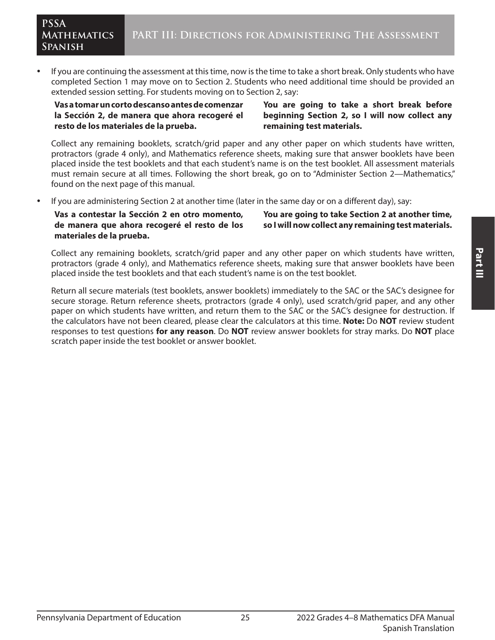**PART III: Directions for Administering The Assessment**

If you are continuing the assessment at this time, now is the time to take a short break. Only students who have completed Section 1 may move on to Section 2. Students who need additional time should be provided an extended session setting. For students moving on to Section 2, say:

**Vas a tomar un corto descanso antes de comenzar la Sección 2, de manera que ahora recogeré el resto de los materiales de la prueba.**

**PSSA** 

**Spanish**

**Mathematics** 

**You are going to take a short break before beginning Section 2, so I will now collect any remaining test materials.**

Collect any remaining booklets, scratch/grid paper and any other paper on which students have written, protractors (grade 4 only), and Mathematics reference sheets, making sure that answer booklets have been placed inside the test booklets and that each student's name is on the test booklet. All assessment materials must remain secure at all times. Following the short break, go on to "Administer Section 2—Mathematics," found on the next page of this manual.

• If you are administering Section 2 at another time (later in the same day or on a different day), say:

#### **Vas a contestar la Sección 2 en otro momento, de manera que ahora recogeré el resto de los materiales de la prueba. You are going to take Section 2 at another time, so I will now collect any remaining test materials.**

Collect any remaining booklets, scratch/grid paper and any other paper on which students have written, protractors (grade 4 only), and Mathematics reference sheets, making sure that answer booklets have been placed inside the test booklets and that each student's name is on the test booklet.

Return all secure materials (test booklets, answer booklets) immediately to the SAC or the SAC's designee for secure storage. Return reference sheets, protractors (grade 4 only), used scratch/grid paper, and any other paper on which students have written, and return them to the SAC or the SAC's designee for destruction. If the calculators have not been cleared, please clear the calculators at this time. **Note:** Do **NOT** review student responses to test questions **for any reason**. Do **NOT** review answer booklets for stray marks. Do **NOT** place scratch paper inside the test booklet or answer booklet.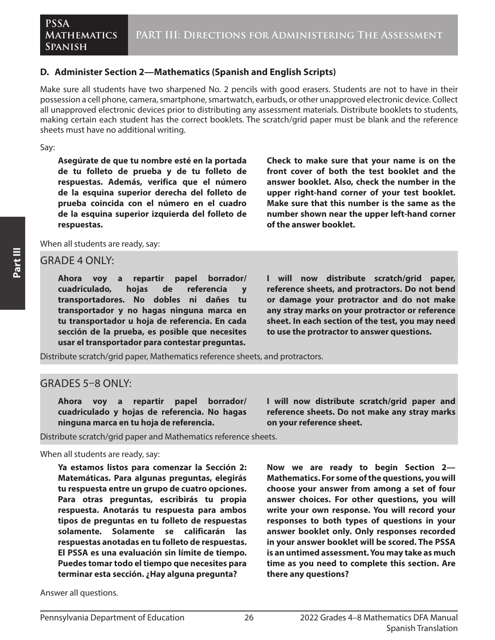#### **D. Administer Section 2—Mathematics (Spanish and English Scripts)**

Make sure all students have two sharpened No. 2 pencils with good erasers. Students are not to have in their possession a cell phone, camera, smartphone, smartwatch, earbuds, or other unapproved electronic device. Collect all unapproved electronic devices prior to distributing any assessment materials. Distribute booklets to students, making certain each student has the correct booklets. The scratch/grid paper must be blank and the reference sheets must have no additional writing.

Say:

<span id="page-29-0"></span>**PSSA** 

**Spanish**

**Mathematics** 

**Asegúrate de que tu nombre esté en la portada de tu folleto de prueba y de tu folleto de respuestas. Además, verifica que el número de la esquina superior derecha del folleto de prueba coincida con el número en el cuadro de la esquina superior izquierda del folleto de respuestas.**

**Check to make sure that your name is on the front cover of both the test booklet and the answer booklet. Also, check the number in the upper right-hand corner of your test booklet. Make sure that this number is the same as the number shown near the upper left-hand corner of the answer booklet.**

When all students are ready, say:

#### GRADE 4 ONLY:

**Ahora voy a repartir papel borrador/ cuadriculado, hojas de referencia y transportadores. No dobles ni dañes tu transportador y no hagas ninguna marca en tu transportador u hoja de referencia. En cada sección de la prueba, es posible que necesites usar el transportador para contestar preguntas.** **I will now distribute scratch/grid paper, reference sheets, and protractors. Do not bend or damage your protractor and do not make any stray marks on your protractor or reference sheet. In each section of the test, you may need to use the protractor to answer questions.**

Distribute scratch/grid paper, Mathematics reference sheets, and protractors.

#### GRADES 5–8 ONLY:

**Ahora voy a repartir papel borrador/ cuadriculado y hojas de referencia. No hagas ninguna marca en tu hoja de referencia.**

Distribute scratch/grid paper and Mathematics reference sheets.

#### When all students are ready, say:

**Ya estamos listos para comenzar la Sección 2: Matemáticas. Para algunas preguntas, elegirás tu respuesta entre un grupo de cuatro opciones. Para otras preguntas, escribirás tu propia respuesta. Anotarás tu respuesta para ambos tipos de preguntas en tu folleto de respuestas solamente. Solamente se calificarán las respuestas anotadas en tu folleto de respuestas. El PSSA es una evaluación sin límite de tiempo. Puedes tomar todo el tiempo que necesites para terminar esta sección. ¿Hay alguna pregunta?**

**I will now distribute scratch/grid paper and reference sheets. Do not make any stray marks on your reference sheet.**

**Now we are ready to begin Section 2— Mathematics. For some of the questions, you will choose your answer from among a set of four answer choices. For other questions, you will write your own response. You will record your responses to both types of questions in your answer booklet only. Only responses recorded in your answer booklet will be scored. The PSSA is an untimed assessment. You may take as much time as you need to complete this section. Are there any questions?**

Answer all questions.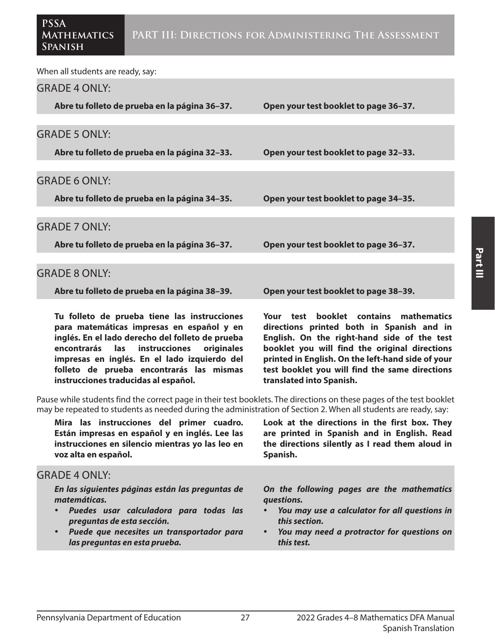| When all students are ready, say:                                                                                                                                                                                                                                                                                                      |                                                                                                                                                                                                                                                                                                                              |  |  |
|----------------------------------------------------------------------------------------------------------------------------------------------------------------------------------------------------------------------------------------------------------------------------------------------------------------------------------------|------------------------------------------------------------------------------------------------------------------------------------------------------------------------------------------------------------------------------------------------------------------------------------------------------------------------------|--|--|
| <b>GRADE 4 ONLY:</b>                                                                                                                                                                                                                                                                                                                   |                                                                                                                                                                                                                                                                                                                              |  |  |
| Abre tu folleto de prueba en la página 36-37.                                                                                                                                                                                                                                                                                          | Open your test booklet to page 36-37.                                                                                                                                                                                                                                                                                        |  |  |
| <b>GRADE 5 ONLY:</b>                                                                                                                                                                                                                                                                                                                   |                                                                                                                                                                                                                                                                                                                              |  |  |
| Abre tu folleto de prueba en la página 32-33.                                                                                                                                                                                                                                                                                          | Open your test booklet to page 32-33.                                                                                                                                                                                                                                                                                        |  |  |
| <b>GRADE 6 ONLY:</b>                                                                                                                                                                                                                                                                                                                   |                                                                                                                                                                                                                                                                                                                              |  |  |
| Abre tu folleto de prueba en la página 34-35.                                                                                                                                                                                                                                                                                          | Open your test booklet to page 34-35.                                                                                                                                                                                                                                                                                        |  |  |
| <b>GRADE 7 ONLY:</b>                                                                                                                                                                                                                                                                                                                   |                                                                                                                                                                                                                                                                                                                              |  |  |
| Abre tu folleto de prueba en la página 36-37.                                                                                                                                                                                                                                                                                          | Open your test booklet to page 36-37.                                                                                                                                                                                                                                                                                        |  |  |
| <b>GRADE 8 ONLY:</b>                                                                                                                                                                                                                                                                                                                   |                                                                                                                                                                                                                                                                                                                              |  |  |
| Abre tu folleto de prueba en la página 38-39.                                                                                                                                                                                                                                                                                          | Open your test booklet to page 38-39.                                                                                                                                                                                                                                                                                        |  |  |
| Tu folleto de prueba tiene las instrucciones<br>para matemáticas impresas en español y en<br>inglés. En el lado derecho del folleto de prueba<br>encontrarás<br>las<br>instrucciones<br>originales<br>impresas en inglés. En el lado izquierdo del<br>folleto de prueba encontrarás las mismas<br>instrucciones traducidas al español. | booklet contains<br>Your test<br>mathematics<br>directions printed both in Spanish and in<br>English. On the right-hand side of the test<br>booklet you will find the original directions<br>printed in English. On the left-hand side of your<br>test booklet you will find the same directions<br>translated into Spanish. |  |  |
| Pause while students find the correct page in their test booklets. The directions on these pages of the test booklet                                                                                                                                                                                                                   |                                                                                                                                                                                                                                                                                                                              |  |  |

may be repeated to students as needed during the administration of Section 2. When all students are ready, say:

**Mira las instrucciones del primer cuadro. Están impresas en español y en inglés. Lee las instrucciones en silencio mientras yo las leo en voz alta en español. Look at the directions in the first box. They are printed in Spanish and in English. Read the directions silently as I read them aloud in Spanish.** GRADE 4 ONLY: *En las siguientes páginas están las preguntas de matemáticas.* y *Puedes usar calculadora para todas las preguntas de esta sección.* y *Puede que necesites un transportador para las preguntas en esta prueba. On the following pages are the mathematics questions.* y *You may use a calculator for all questions in this section.* y *You may need a protractor for questions on this test.*

**PSSA** 

**Spanish**

**Mathematics**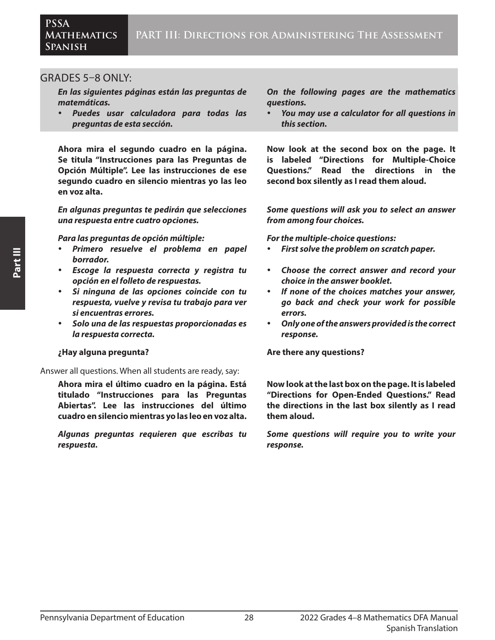### **PSSA Mathematics Spanish**

#### GRADES 5–8 ONLY:

*En las siguientes páginas están las preguntas de matemáticas.* 

y *Puedes usar calculadora para todas las preguntas de esta sección.*

**Ahora mira el segundo cuadro en la página. Se titula "Instrucciones para las Preguntas de Opción Múltiple". Lee las instrucciones de ese segundo cuadro en silencio mientras yo las leo en voz alta.**

*En algunas preguntas te pedirán que selecciones una respuesta entre cuatro opciones.*

*Para las preguntas de opción múltiple:*

- y *Primero resuelve el problema en papel borrador.*
- y *Escoge la respuesta correcta y registra tu opción en el folleto de respuestas.*
- y *Si ninguna de las opciones coincide con tu respuesta, vuelve y revisa tu trabajo para ver si encuentras errores.*
- y *Solo una de las respuestas proporcionadas es la respuesta correcta.*

#### **¿Hay alguna pregunta?**

Answer all questions. When all students are ready, say:

**Ahora mira el último cuadro en la página. Está titulado "Instrucciones para las Preguntas Abiertas". Lee las instrucciones del último cuadro en silencio mientras yo las leo en voz alta.**

*Algunas preguntas requieren que escribas tu respuesta.*

*On the following pages are the mathematics questions.*

y *You may use a calculator for all questions in this section.*

**Now look at the second box on the page. It is labeled "Directions for Multiple-Choice Questions." Read the directions in the second box silently as I read them aloud.** 

*Some questions will ask you to select an answer from among four choices.*

*For the multiple-choice questions:*

- y *First solve the problem on scratch paper.*
- y *Choose the correct answer and record your choice in the answer booklet.*
- y *If none of the choices matches your answer, go back and check your work for possible errors.*
- y *Only one of the answers provided is the correct response.*

**Are there any questions?**

**Now look at the last box on the page. It is labeled "Directions for Open-Ended Questions." Read the directions in the last box silently as I read them aloud.**

*Some questions will require you to write your response.*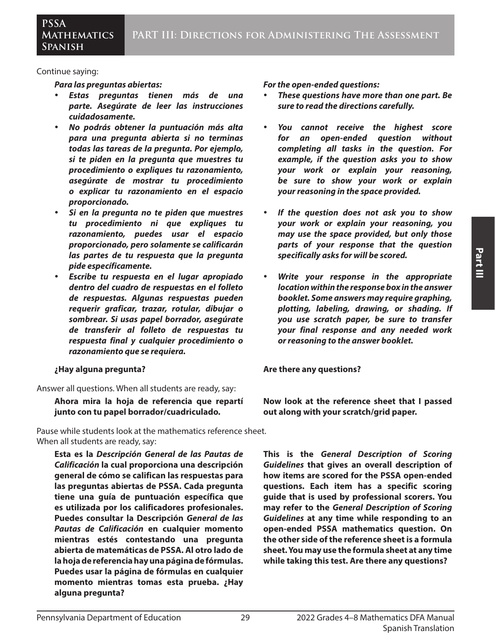#### **PSSA Mathematics Spanish**

#### Continue saying:

#### *Para las preguntas abiertas:*

- y *Estas preguntas tienen más de una parte. Asegúrate de leer las instrucciones cuidadosamente.*
- y *No podrás obtener la puntuación más alta para una pregunta abierta si no terminas todas las tareas de la pregunta. Por ejemplo, si te piden en la pregunta que muestres tu procedimiento o expliques tu razonamiento, asegúrate de mostrar tu procedimiento o explicar tu razonamiento en el espacio proporcionado.*
- y *Si en la pregunta no te piden que muestres tu procedimiento ni que expliques tu razonamiento, puedes usar el espacio proporcionado, pero solamente se calificarán las partes de tu respuesta que la pregunta pide específicamente.*
- y *Escribe tu respuesta en el lugar apropiado dentro del cuadro de respuestas en el folleto de respuestas. Algunas respuestas pueden requerir graficar, trazar, rotular, dibujar o sombrear. Si usas papel borrador, asegúrate de transferir al folleto de respuestas tu respuesta final y cualquier procedimiento o razonamiento que se requiera.*

#### **¿Hay alguna pregunta?**

Answer all questions. When all students are ready, say:

#### **Ahora mira la hoja de referencia que repartí junto con tu papel borrador/cuadriculado.**

Pause while students look at the mathematics reference sheet. When all students are ready, say:

**Esta es la** *Descripción General de las Pautas de Calificación* **la cual proporciona una descripción general de cómo se califican las respuestas para las preguntas abiertas de PSSA. Cada pregunta tiene una guía de puntuación específica que es utilizada por los calificadores profesionales. Puedes consultar la Descripción** *General de las Pautas de Calificación* **en cualquier momento mientras estés contestando una pregunta abierta de matemáticas de PSSA. Al otro lado de la hoja de referencia hay una página de fórmulas. Puedes usar la página de fórmulas en cualquier momento mientras tomas esta prueba. ¿Hay alguna pregunta?**

*For the open-ended questions:*

- **These questions have more than one part. Be** *sure to read the directions carefully.*
- y *You cannot receive the highest score for an open-ended question without completing all tasks in the question. For example, if the question asks you to show your work or explain your reasoning, be sure to show your work or explain your reasoning in the space provided.*
- y *If the question does not ask you to show your work or explain your reasoning, you may use the space provided, but only those parts of your response that the question specifically asks for will be scored.*
- y *Write your response in the appropriate location within the response box in the answer booklet. Some answers may require graphing, plotting, labeling, drawing, or shading. If you use scratch paper, be sure to transfer your final response and any needed work or reasoning to the answer booklet.*

#### **Are there any questions?**

**Now look at the reference sheet that I passed out along with your scratch/grid paper.**

**This is the** *General Description of Scoring Guidelines* **that gives an overall description of how items are scored for the PSSA open-ended questions. Each item has a specific scoring guide that is used by professional scorers. You may refer to the** *General Description of Scoring Guidelines* **at any time while responding to an open-ended PSSA mathematics question. On the other side of the reference sheet is a formula sheet. You may use the formula sheet at any time while taking this test. Are there any questions?**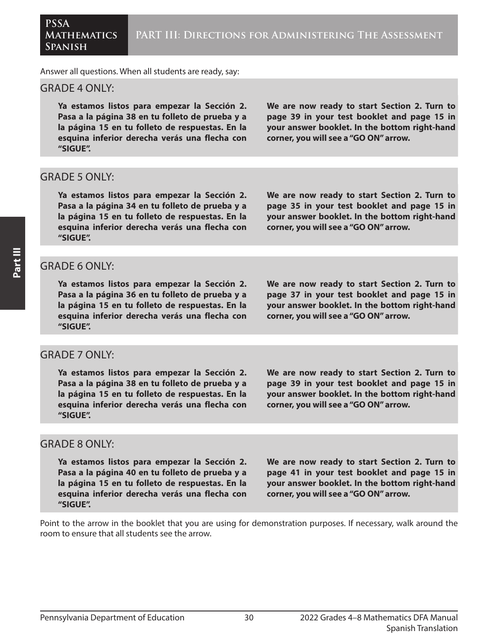Answer all questions. When all students are ready, say:

#### GRADE 4 ONLY:

**Ya estamos listos para empezar la Sección 2. Pasa a la página 38 en tu folleto de prueba y a la página 15 en tu folleto de respuestas. En la esquina inferior derecha verás una flecha con "SIGUE".**

**We are now ready to start Section 2. Turn to page 39 in your test booklet and page 15 in your answer booklet. In the bottom right-hand corner, you will see a "GO ON" arrow.**

### GRADE 5 ONLY:

**Ya estamos listos para empezar la Sección 2. Pasa a la página 34 en tu folleto de prueba y a la página 15 en tu folleto de respuestas. En la esquina inferior derecha verás una flecha con "SIGUE".**

**We are now ready to start Section 2. Turn to page 35 in your test booklet and page 15 in your answer booklet. In the bottom right-hand corner, you will see a "GO ON" arrow.**

#### GRADE 6 ONLY:

**Ya estamos listos para empezar la Sección 2. Pasa a la página 36 en tu folleto de prueba y a la página 15 en tu folleto de respuestas. En la esquina inferior derecha verás una flecha con "SIGUE".**

**We are now ready to start Section 2. Turn to page 37 in your test booklet and page 15 in your answer booklet. In the bottom right-hand corner, you will see a "GO ON" arrow.**

### GRADE 7 ONLY:

**Ya estamos listos para empezar la Sección 2. Pasa a la página 38 en tu folleto de prueba y a la página 15 en tu folleto de respuestas. En la esquina inferior derecha verás una flecha con "SIGUE".**

**We are now ready to start Section 2. Turn to page 39 in your test booklet and page 15 in your answer booklet. In the bottom right-hand corner, you will see a "GO ON" arrow.**

#### GRADE 8 ONLY:

**Ya estamos listos para empezar la Sección 2. Pasa a la página 40 en tu folleto de prueba y a la página 15 en tu folleto de respuestas. En la esquina inferior derecha verás una flecha con "SIGUE".**

**We are now ready to start Section 2. Turn to page 41 in your test booklet and page 15 in your answer booklet. In the bottom right-hand corner, you will see a "GO ON" arrow.**

Point to the arrow in the booklet that you are using for demonstration purposes. If necessary, walk around the room to ensure that all students see the arrow.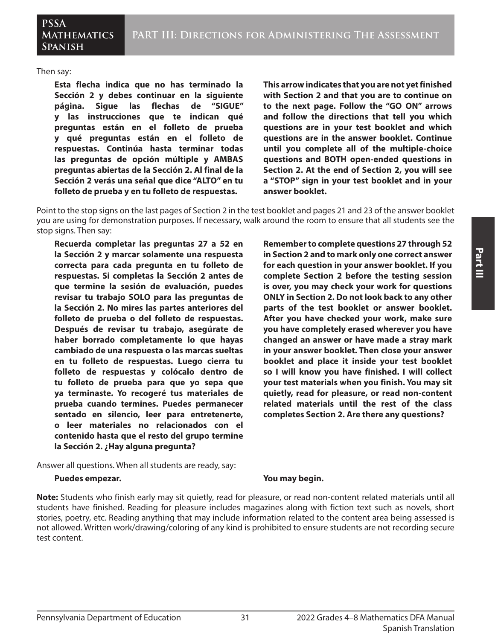#### Then say:

**PSSA** 

**Spanish**

**Mathematics** 

**Esta flecha indica que no has terminado la Sección 2 y debes continuar en la siguiente página. Sigue las flechas de "SIGUE" y las instrucciones que te indican qué preguntas están en el folleto de prueba y qué preguntas están en el folleto de respuestas. Continúa hasta terminar todas las preguntas de opción múltiple y AMBAS preguntas abiertas de la Sección 2. Al final de la Sección 2 verás una señal que dice "ALTO" en tu folleto de prueba y en tu folleto de respuestas.**

**This arrow indicates that you are not yet finished with Section 2 and that you are to continue on to the next page. Follow the "GO ON" arrows and follow the directions that tell you which questions are in your test booklet and which questions are in the answer booklet. Continue until you complete all of the multiple-choice questions and BOTH open-ended questions in Section 2. At the end of Section 2, you will see a "STOP" sign in your test booklet and in your answer booklet.**

Point to the stop signs on the last pages of Section 2 in the test booklet and pages 21 and 23 of the answer booklet you are using for demonstration purposes. If necessary, walk around the room to ensure that all students see the stop signs. Then say:

**Recuerda completar las preguntas 27 a 52 en la Sección 2 y marcar solamente una respuesta correcta para cada pregunta en tu folleto de respuestas. Si completas la Sección 2 antes de que termine la sesión de evaluación, puedes revisar tu trabajo SOLO para las preguntas de la Sección 2. No mires las partes anteriores del folleto de prueba o del folleto de respuestas. Después de revisar tu trabajo, asegúrate de haber borrado completamente lo que hayas cambiado de una respuesta o las marcas sueltas en tu folleto de respuestas. Luego cierra tu folleto de respuestas y colócalo dentro de tu folleto de prueba para que yo sepa que ya terminaste. Yo recogeré tus materiales de prueba cuando termines. Puedes permanecer sentado en silencio, leer para entretenerte, o leer materiales no relacionados con el contenido hasta que el resto del grupo termine la Sección 2. ¿Hay alguna pregunta?**

Answer all questions. When all students are ready, say:

#### **Puedes empezar. You may begin.**

**Remember to complete questions 27 through 52 in Section 2 and to mark only one correct answer for each question in your answer booklet. If you complete Section 2 before the testing session is over, you may check your work for questions ONLY in Section 2. Do not look back to any other parts of the test booklet or answer booklet. After you have checked your work, make sure you have completely erased wherever you have changed an answer or have made a stray mark in your answer booklet. Then close your answer booklet and place it inside your test booklet so I will know you have finished. I will collect your test materials when you finish. You may sit quietly, read for pleasure, or read non-content related materials until the rest of the class completes Section 2. Are there any questions?**

**Note:** Students who finish early may sit quietly, read for pleasure, or read non-content related materials until all students have finished. Reading for pleasure includes magazines along with fiction text such as novels, short stories, poetry, etc. Reading anything that may include information related to the content area being assessed is not allowed. Written work/drawing/coloring of any kind is prohibited to ensure students are not recording secure test content.

**Part III**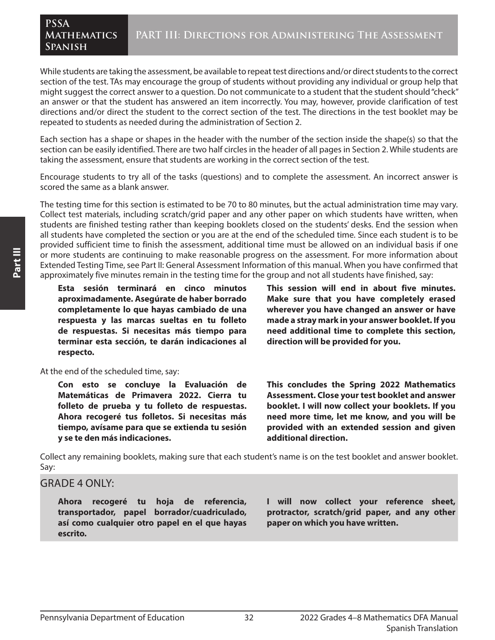### **PSSA Mathematics Spanish**

While students are taking the assessment, be available to repeat test directions and/or direct students to the correct section of the test. TAs may encourage the group of students without providing any individual or group help that might suggest the correct answer to a question. Do not communicate to a student that the student should "check" an answer or that the student has answered an item incorrectly. You may, however, provide clarification of test directions and/or direct the student to the correct section of the test. The directions in the test booklet may be repeated to students as needed during the administration of Section 2.

Each section has a shape or shapes in the header with the number of the section inside the shape(s) so that the section can be easily identified. There are two half circles in the header of all pages in Section 2. While students are taking the assessment, ensure that students are working in the correct section of the test.

Encourage students to try all of the tasks (questions) and to complete the assessment. An incorrect answer is scored the same as a blank answer.

The testing time for this section is estimated to be 70 to 80 minutes, but the actual administration time may vary. Collect test materials, including scratch/grid paper and any other paper on which students have written, when students are finished testing rather than keeping booklets closed on the students' desks. End the session when all students have completed the section or you are at the end of the scheduled time. Since each student is to be provided sufficient time to finish the assessment, additional time must be allowed on an individual basis if one or more students are continuing to make reasonable progress on the assessment. For more information about Extended Testing Time, see Part II: General Assessment Information of this manual. When you have confirmed that approximately five minutes remain in the testing time for the group and not all students have finished, say:

**Esta sesión terminará en cinco minutos aproximadamente. Asegúrate de haber borrado completamente lo que hayas cambiado de una respuesta y las marcas sueltas en tu folleto de respuestas. Si necesitas más tiempo para terminar esta sección, te darán indicaciones al respecto.**

**This session will end in about five minutes. Make sure that you have completely erased wherever you have changed an answer or have made a stray mark in your answer booklet. If you need additional time to complete this section, direction will be provided for you.**

At the end of the scheduled time, say:

**Con esto se concluye la Evaluación de Matemáticas de Primavera 2022. Cierra tu folleto de prueba y tu folleto de respuestas. Ahora recogeré tus folletos. Si necesitas más tiempo, avísame para que se extienda tu sesión y se te den más indicaciones.**

**This concludes the Spring 2022 Mathematics Assessment. Close your test booklet and answer booklet. I will now collect your booklets. If you need more time, let me know, and you will be provided with an extended session and given additional direction.**

Collect any remaining booklets, making sure that each student's name is on the test booklet and answer booklet. Say:

### GRADE 4 ONLY:

**Ahora recogeré tu hoja de referencia, transportador, papel borrador/cuadriculado, así como cualquier otro papel en el que hayas escrito.**

**I will now collect your reference sheet, protractor, scratch/grid paper, and any other paper on which you have written.**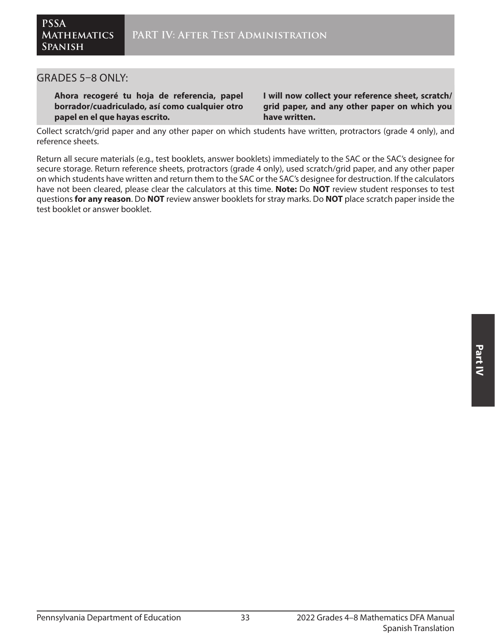#### GRADES 5–8 ONLY:

**Ahora recogeré tu hoja de referencia, papel borrador/cuadriculado, así como cualquier otro papel en el que hayas escrito.**

**I will now collect your reference sheet, scratch/ grid paper, and any other paper on which you have written.**

Collect scratch/grid paper and any other paper on which students have written, protractors (grade 4 only), and reference sheets.

Return all secure materials (e.g., test booklets, answer booklets) immediately to the SAC or the SAC's designee for secure storage. Return reference sheets, protractors (grade 4 only), used scratch/grid paper, and any other paper on which students have written and return them to the SAC or the SAC's designee for destruction. If the calculators have not been cleared, please clear the calculators at this time. **Note:** Do **NOT** review student responses to test questions **for any reason**. Do **NOT** review answer booklets for stray marks. Do **NOT** place scratch paper inside the test booklet or answer booklet.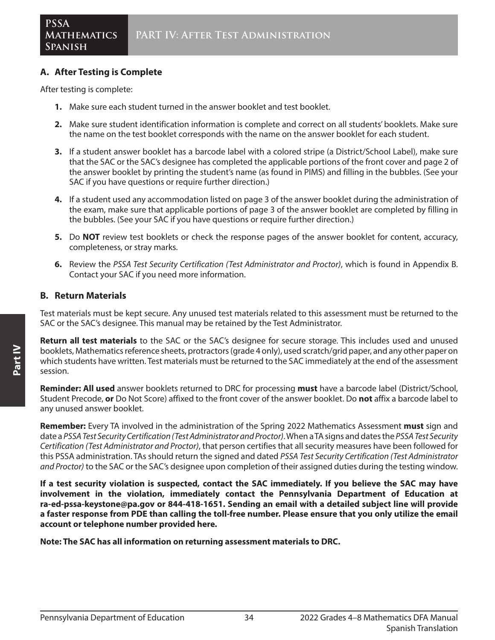#### **A. After Testing is Complete**

After testing is complete:

**Mathematics** 

<span id="page-37-0"></span>**PSSA** 

**Spanish**

- **1.** Make sure each student turned in the answer booklet and test booklet.
- **2.** Make sure student identification information is complete and correct on all students' booklets. Make sure the name on the test booklet corresponds with the name on the answer booklet for each student.
- **3.** If a student answer booklet has a barcode label with a colored stripe (a District/School Label), make sure that the SAC or the SAC's designee has completed the applicable portions of the front cover and page 2 of the answer booklet by printing the student's name (as found in PIMS) and filling in the bubbles. (See your SAC if you have questions or require further direction.)
- **4.** If a student used any accommodation listed on page 3 of the answer booklet during the administration of the exam, make sure that applicable portions of page 3 of the answer booklet are completed by filling in the bubbles. (See your SAC if you have questions or require further direction.)
- **5.** Do **NOT** review test booklets or check the response pages of the answer booklet for content, accuracy, completeness, or stray marks.
- **6.** Review the *PSSA Test Security Certification (Test Administrator and Proctor)*, which is found in Appendix B. Contact your SAC if you need more information.

#### **B. Return Materials**

Test materials must be kept secure. Any unused test materials related to this assessment must be returned to the SAC or the SAC's designee. This manual may be retained by the Test Administrator.

**Return all test materials** to the SAC or the SAC's designee for secure storage. This includes used and unused booklets, Mathematics reference sheets, protractors (grade 4 only), used scratch/grid paper, and any other paper on which students have written. Test materials must be returned to the SAC immediately at the end of the assessment session.

**Reminder: All used** answer booklets returned to DRC for processing **must** have a barcode label (District/School, Student Precode, **or** Do Not Score) affixed to the front cover of the answer booklet. Do **not** affix a barcode label to any unused answer booklet.

**Remember:** Every TA involved in the administration of the Spring 2022 Mathematics Assessment **must** sign and date a *PSSA Test Security Certification (Test Administrator and Proctor)*. When a TA signs and dates the *PSSA Test Security Certification (Test Administrator and Proctor)*, that person certifies that all security measures have been followed for this PSSA administration. TAs should return the signed and dated *PSSA Test Security Certification (Test Administrator and Proctor)* to the SAC or the SAC's designee upon completion of their assigned duties during the testing window.

**If a test security violation is suspected, contact the SAC immediately. If you believe the SAC may have involvement in the violation, immediately contact the Pennsylvania Department of Education at [ra-ed-pssa-keystone@pa.gov](mailto:ra-ed-pssa-keystone%40pa.gov?subject=) or 844-418-1651. Sending an email with a detailed subject line will provide a faster response from PDE than calling the toll-free number. Please ensure that you only utilize the email account or telephone number provided here.**

**Note: The SAC has all information on returning assessment materials to DRC.**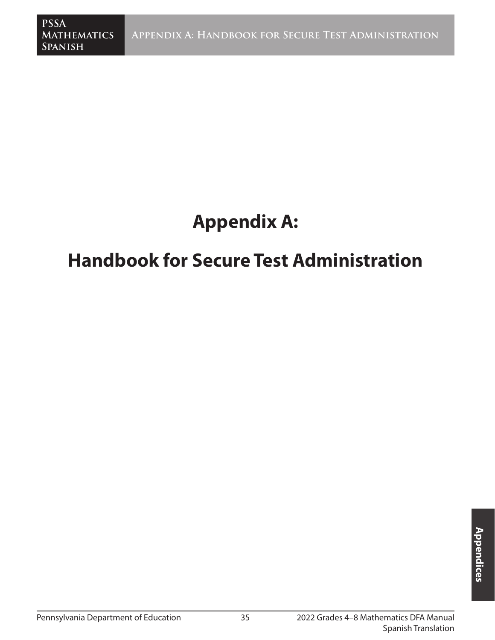# **Appendix A:**

## <span id="page-38-0"></span>**Handbook for Secure Test Administration**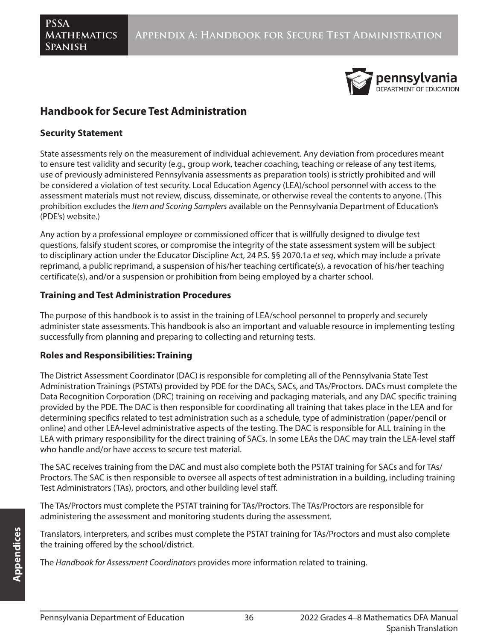

### **Handbook for Secure Test Administration**

#### **Security Statement**

State assessments rely on the measurement of individual achievement. Any deviation from procedures meant to ensure test validity and security (e.g., group work, teacher coaching, teaching or release of any test items, use of previously administered Pennsylvania assessments as preparation tools) is strictly prohibited and will be considered a violation of test security. Local Education Agency (LEA)/school personnel with access to the assessment materials must not review, discuss, disseminate, or otherwise reveal the contents to anyone. (This prohibition excludes the *Item and Scoring Samplers* available on the Pennsylvania Department of Education's (PDE's) website.)

Any action by a professional employee or commissioned officer that is willfully designed to divulge test questions, falsify student scores, or compromise the integrity of the state assessment system will be subject to disciplinary action under the Educator Discipline Act, 24 P.S. §§ 2070.1a *et seq*, which may include a private reprimand, a public reprimand, a suspension of his/her teaching certificate(s), a revocation of his/her teaching certificate(s), and/or a suspension or prohibition from being employed by a charter school.

#### **Training and Test Administration Procedures**

The purpose of this handbook is to assist in the training of LEA/school personnel to properly and securely administer state assessments. This handbook is also an important and valuable resource in implementing testing successfully from planning and preparing to collecting and returning tests.

#### **Roles and Responsibilities: Training**

The District Assessment Coordinator (DAC) is responsible for completing all of the Pennsylvania State Test Administration Trainings (PSTATs) provided by PDE for the DACs, SACs, and TAs/Proctors. DACs must complete the Data Recognition Corporation (DRC) training on receiving and packaging materials, and any DAC specific training provided by the PDE. The DAC is then responsible for coordinating all training that takes place in the LEA and for determining specifics related to test administration such as a schedule, type of administration (paper/pencil or online) and other LEA-level administrative aspects of the testing. The DAC is responsible for ALL training in the LEA with primary responsibility for the direct training of SACs. In some LEAs the DAC may train the LEA-level staff who handle and/or have access to secure test material.

The SAC receives training from the DAC and must also complete both the PSTAT training for SACs and for TAs/ Proctors. The SAC is then responsible to oversee all aspects of test administration in a building, including training Test Administrators (TAs), proctors, and other building level staff.

The TAs/Proctors must complete the PSTAT training for TAs/Proctors. The TAs/Proctors are responsible for administering the assessment and monitoring students during the assessment.

Translators, interpreters, and scribes must complete the PSTAT training for TAs/Proctors and must also complete the training offered by the school/district.

The *Handbook for Assessment Coordinators* provides more information related to training.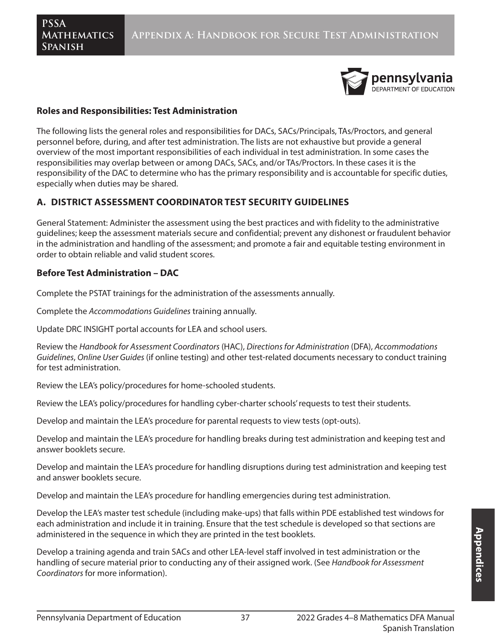

#### **Roles and Responsibilities: Test Administration**

The following lists the general roles and responsibilities for DACs, SACs/Principals, TAs/Proctors, and general personnel before, during, and after test administration. The lists are not exhaustive but provide a general overview of the most important responsibilities of each individual in test administration. In some cases the responsibilities may overlap between or among DACs, SACs, and/or TAs/Proctors. In these cases it is the responsibility of the DAC to determine who has the primary responsibility and is accountable for specific duties, especially when duties may be shared.

#### **A. DISTRICT ASSESSMENT COORDINATOR TEST SECURITY GUIDELINES**

General Statement: Administer the assessment using the best practices and with fidelity to the administrative guidelines; keep the assessment materials secure and confidential; prevent any dishonest or fraudulent behavior in the administration and handling of the assessment; and promote a fair and equitable testing environment in order to obtain reliable and valid student scores.

#### **Before Test Administration – DAC**

Complete the PSTAT trainings for the administration of the assessments annually.

Complete the *Accommodations Guidelines* training annually.

Update DRC INSIGHT portal accounts for LEA and school users.

Review the *Handbook for Assessment Coordinators* (HAC), *Directions for Administration* (DFA), *Accommodations Guidelines*, *Online User Guides* (if online testing) and other test-related documents necessary to conduct training for test administration.

Review the LEA's policy/procedures for home-schooled students.

Review the LEA's policy/procedures for handling cyber-charter schools' requests to test their students.

Develop and maintain the LEA's procedure for parental requests to view tests (opt-outs).

Develop and maintain the LEA's procedure for handling breaks during test administration and keeping test and answer booklets secure.

Develop and maintain the LEA's procedure for handling disruptions during test administration and keeping test and answer booklets secure.

Develop and maintain the LEA's procedure for handling emergencies during test administration.

Develop the LEA's master test schedule (including make-ups) that falls within PDE established test windows for each administration and include it in training. Ensure that the test schedule is developed so that sections are administered in the sequence in which they are printed in the test booklets.

Develop a training agenda and train SACs and other LEA-level staff involved in test administration or the handling of secure material prior to conducting any of their assigned work. (See *Handbook for Assessment Coordinators* for more information).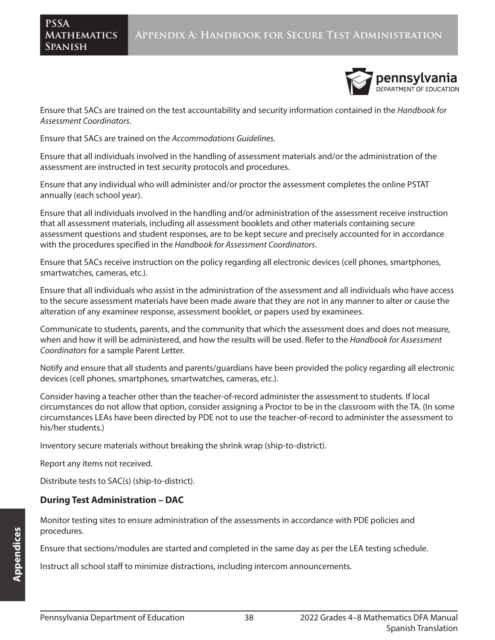

Ensure that SACs are trained on the test accountability and security information contained in the *Handbook for Assessment Coordinators*.

Ensure that SACs are trained on the *Accommodations Guidelines*.

**PSSA** 

**Spanish**

**Mathematics** 

Ensure that all individuals involved in the handling of assessment materials and/or the administration of the assessment are instructed in test security protocols and procedures.

Ensure that any individual who will administer and/or proctor the assessment completes the online PSTAT annually (each school year).

Ensure that all individuals involved in the handling and/or administration of the assessment receive instruction that all assessment materials, including all assessment booklets and other materials containing secure assessment questions and student responses, are to be kept secure and precisely accounted for in accordance with the procedures specified in the *Handbook for Assessment Coordinators*.

Ensure that SACs receive instruction on the policy regarding all electronic devices (cell phones, smartphones, smartwatches, cameras, etc.).

Ensure that all individuals who assist in the administration of the assessment and all individuals who have access to the secure assessment materials have been made aware that they are not in any manner to alter or cause the alteration of any examinee response, assessment booklet, or papers used by examinees.

Communicate to students, parents, and the community that which the assessment does and does not measure, when and how it will be administered, and how the results will be used. Refer to the *Handbook for Assessment Coordinators* for a sample Parent Letter.

Notify and ensure that all students and parents/guardians have been provided the policy regarding all electronic devices (cell phones, smartphones, smartwatches, cameras, etc.).

Consider having a teacher other than the teacher-of-record administer the assessment to students. If local circumstances do not allow that option, consider assigning a Proctor to be in the classroom with the TA. (In some circumstances LEAs have been directed by PDE not to use the teacher-of-record to administer the assessment to his/her students.)

Inventory secure materials without breaking the shrink wrap (ship-to-district).

Report any items not received.

Distribute tests to SAC(s) (ship-to-district).

#### **During Test Administration – DAC**

Monitor testing sites to ensure administration of the assessments in accordance with PDE policies and procedures.

Ensure that sections/modules are started and completed in the same day as per the LEA testing schedule.

Instruct all school staff to minimize distractions, including intercom announcements.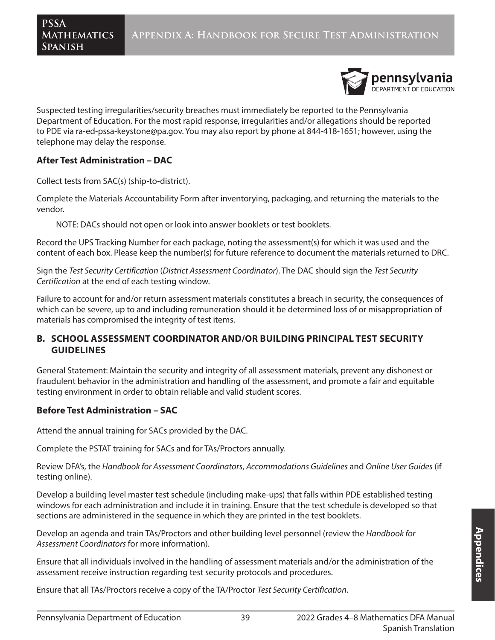

Suspected testing irregularities/security breaches must immediately be reported to the Pennsylvania Department of Education. For the most rapid response, irregularities and/or allegations should be reported to PDE via ra-ed-pssa-keystone@pa.gov. You may also report by phone at 844-418-1651; however, using the telephone may delay the response.

#### **After Test Administration – DAC**

**PSSA** 

**Spanish**

**Mathematics** 

Collect tests from SAC(s) (ship-to-district).

Complete the Materials Accountability Form after inventorying, packaging, and returning the materials to the vendor.

NOTE: DACs should not open or look into answer booklets or test booklets.

Record the UPS Tracking Number for each package, noting the assessment(s) for which it was used and the content of each box. Please keep the number(s) for future reference to document the materials returned to DRC.

Sign the *Test Security Certification* (*District Assessment Coordinator*). The DAC should sign the *Test Security Certification* at the end of each testing window.

Failure to account for and/or return assessment materials constitutes a breach in security, the consequences of which can be severe, up to and including remuneration should it be determined loss of or misappropriation of materials has compromised the integrity of test items.

#### **B. SCHOOL ASSESSMENT COORDINATOR AND/OR BUILDING PRINCIPAL TEST SECURITY GUIDELINES**

General Statement: Maintain the security and integrity of all assessment materials, prevent any dishonest or fraudulent behavior in the administration and handling of the assessment, and promote a fair and equitable testing environment in order to obtain reliable and valid student scores.

#### **Before Test Administration – SAC**

Attend the annual training for SACs provided by the DAC.

Complete the PSTAT training for SACs and for TAs/Proctors annually.

Review DFA's, the *Handbook for Assessment Coordinators*, *Accommodations Guidelines* and *Online User Guides* (if testing online).

Develop a building level master test schedule (including make-ups) that falls within PDE established testing windows for each administration and include it in training. Ensure that the test schedule is developed so that sections are administered in the sequence in which they are printed in the test booklets.

Develop an agenda and train TAs/Proctors and other building level personnel (review the *Handbook for Assessment Coordinators* for more information).

Ensure that all individuals involved in the handling of assessment materials and/or the administration of the assessment receive instruction regarding test security protocols and procedures.

Ensure that all TAs/Proctors receive a copy of the TA/Proctor *Test Security Certification*.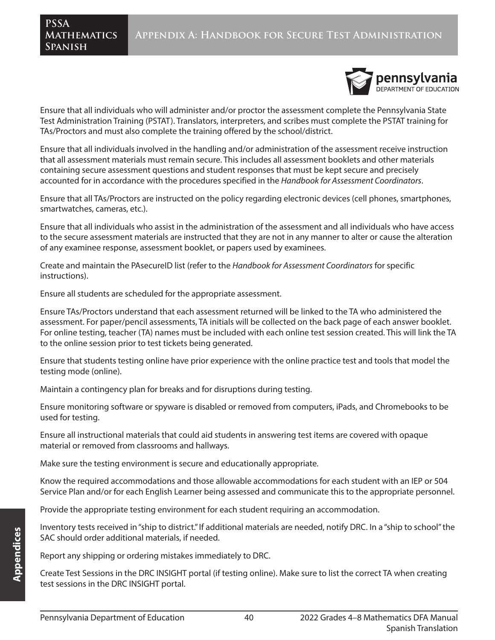#### **PSSA Mathematics Spanish**



Ensure that all individuals who will administer and/or proctor the assessment complete the Pennsylvania State Test Administration Training (PSTAT). Translators, interpreters, and scribes must complete the PSTAT training for TAs/Proctors and must also complete the training offered by the school/district.

Ensure that all individuals involved in the handling and/or administration of the assessment receive instruction that all assessment materials must remain secure. This includes all assessment booklets and other materials containing secure assessment questions and student responses that must be kept secure and precisely accounted for in accordance with the procedures specified in the *Handbook for Assessment Coordinators*.

Ensure that all TAs/Proctors are instructed on the policy regarding electronic devices (cell phones, smartphones, smartwatches, cameras, etc.).

Ensure that all individuals who assist in the administration of the assessment and all individuals who have access to the secure assessment materials are instructed that they are not in any manner to alter or cause the alteration of any examinee response, assessment booklet, or papers used by examinees.

Create and maintain the PAsecureID list (refer to the *Handbook for Assessment Coordinators* for specific instructions).

Ensure all students are scheduled for the appropriate assessment.

Ensure TAs/Proctors understand that each assessment returned will be linked to the TA who administered the assessment. For paper/pencil assessments, TA initials will be collected on the back page of each answer booklet. For online testing, teacher (TA) names must be included with each online test session created. This will link the TA to the online session prior to test tickets being generated.

Ensure that students testing online have prior experience with the online practice test and tools that model the testing mode (online).

Maintain a contingency plan for breaks and for disruptions during testing.

Ensure monitoring software or spyware is disabled or removed from computers, iPads, and Chromebooks to be used for testing.

Ensure all instructional materials that could aid students in answering test items are covered with opaque material or removed from classrooms and hallways.

Make sure the testing environment is secure and educationally appropriate.

Know the required accommodations and those allowable accommodations for each student with an IEP or 504 Service Plan and/or for each English Learner being assessed and communicate this to the appropriate personnel.

Provide the appropriate testing environment for each student requiring an accommodation.

Inventory tests received in "ship to district." If additional materials are needed, notify DRC. In a "ship to school" the SAC should order additional materials, if needed.

Report any shipping or ordering mistakes immediately to DRC.

Create Test Sessions in the DRC INSIGHT portal (if testing online). Make sure to list the correct TA when creating test sessions in the DRC INSIGHT portal.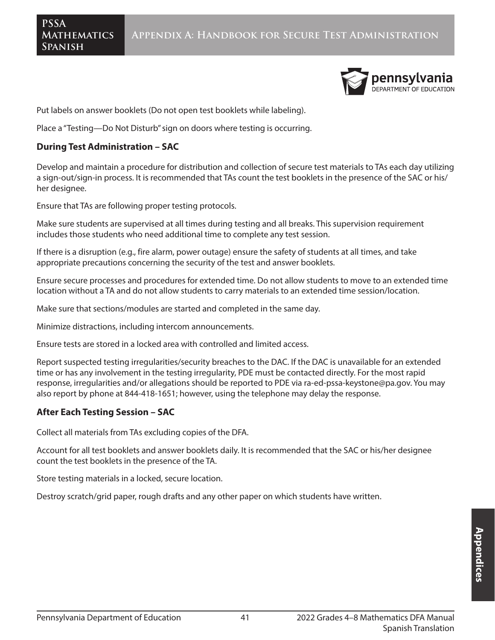

Put labels on answer booklets (Do not open test booklets while labeling).

Place a "Testing—Do Not Disturb" sign on doors where testing is occurring.

#### **During Test Administration – SAC**

Develop and maintain a procedure for distribution and collection of secure test materials to TAs each day utilizing a sign-out/sign-in process. It is recommended that TAs count the test booklets in the presence of the SAC or his/ her designee.

Ensure that TAs are following proper testing protocols.

Make sure students are supervised at all times during testing and all breaks. This supervision requirement includes those students who need additional time to complete any test session.

If there is a disruption (e.g., fire alarm, power outage) ensure the safety of students at all times, and take appropriate precautions concerning the security of the test and answer booklets.

Ensure secure processes and procedures for extended time. Do not allow students to move to an extended time location without a TA and do not allow students to carry materials to an extended time session/location.

Make sure that sections/modules are started and completed in the same day.

Minimize distractions, including intercom announcements.

Ensure tests are stored in a locked area with controlled and limited access.

Report suspected testing irregularities/security breaches to the DAC. If the DAC is unavailable for an extended time or has any involvement in the testing irregularity, PDE must be contacted directly. For the most rapid response, irregularities and/or allegations should be reported to PDE via ra-ed-pssa-keystone@pa.gov. You may also report by phone at 844-418-1651; however, using the telephone may delay the response.

#### **After Each Testing Session – SAC**

Collect all materials from TAs excluding copies of the DFA.

Account for all test booklets and answer booklets daily. It is recommended that the SAC or his/her designee count the test booklets in the presence of the TA.

Store testing materials in a locked, secure location.

Destroy scratch/grid paper, rough drafts and any other paper on which students have written.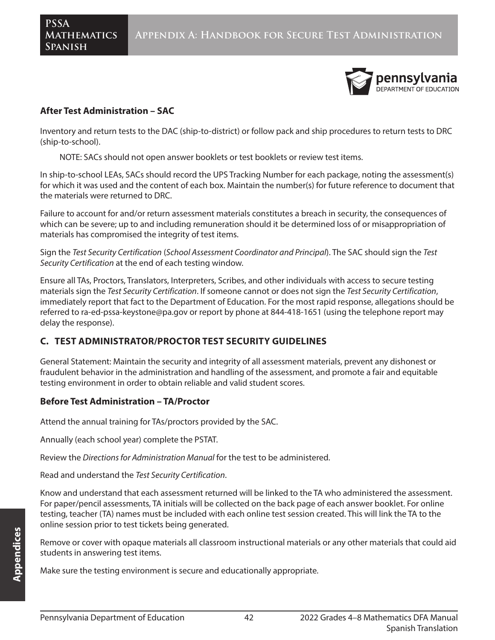

#### **After Test Administration – SAC**

**PSSA** 

**Spanish**

**Mathematics** 

Inventory and return tests to the DAC (ship-to-district) or follow pack and ship procedures to return tests to DRC (ship-to-school).

NOTE: SACs should not open answer booklets or test booklets or review test items.

In ship-to-school LEAs, SACs should record the UPS Tracking Number for each package, noting the assessment(s) for which it was used and the content of each box. Maintain the number(s) for future reference to document that the materials were returned to DRC.

Failure to account for and/or return assessment materials constitutes a breach in security, the consequences of which can be severe; up to and including remuneration should it be determined loss of or misappropriation of materials has compromised the integrity of test items.

Sign the *Test Security Certification* (*School Assessment Coordinator and Principal*). The SAC should sign the *Test Security Certification* at the end of each testing window.

Ensure all TAs, Proctors, Translators, Interpreters, Scribes, and other individuals with access to secure testing materials sign the *Test Security Certification*. If someone cannot or does not sign the *Test Security Certification*, immediately report that fact to the Department of Education. For the most rapid response, allegations should be referred to ra-ed-pssa-keystone@pa.gov or report by phone at 844-418-1651 (using the telephone report may delay the response).

#### **C. TEST ADMINISTRATOR/PROCTOR TEST SECURITY GUIDELINES**

General Statement: Maintain the security and integrity of all assessment materials, prevent any dishonest or fraudulent behavior in the administration and handling of the assessment, and promote a fair and equitable testing environment in order to obtain reliable and valid student scores.

#### **Before Test Administration – TA/Proctor**

Attend the annual training for TAs/proctors provided by the SAC.

Annually (each school year) complete the PSTAT.

Review the *Directions for Administration Manual* for the test to be administered.

Read and understand the *Test Security Certification*.

Know and understand that each assessment returned will be linked to the TA who administered the assessment. For paper/pencil assessments, TA initials will be collected on the back page of each answer booklet. For online testing, teacher (TA) names must be included with each online test session created. This will link the TA to the online session prior to test tickets being generated.

Remove or cover with opaque materials all classroom instructional materials or any other materials that could aid students in answering test items.

Make sure the testing environment is secure and educationally appropriate.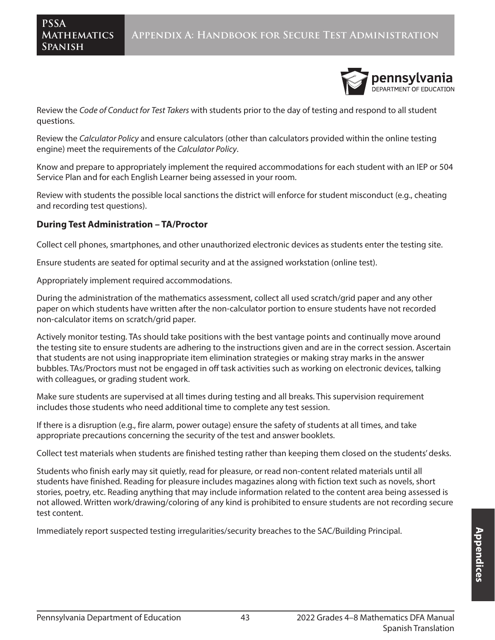

Review the *Code of Conduct for Test Takers* with students prior to the day of testing and respond to all student questions.

Review the *Calculator Policy* and ensure calculators (other than calculators provided within the online testing engine) meet the requirements of the *Calculator Policy*.

Know and prepare to appropriately implement the required accommodations for each student with an IEP or 504 Service Plan and for each English Learner being assessed in your room.

Review with students the possible local sanctions the district will enforce for student misconduct (e.g., cheating and recording test questions).

#### **During Test Administration – TA/Proctor**

Collect cell phones, smartphones, and other unauthorized electronic devices as students enter the testing site.

Ensure students are seated for optimal security and at the assigned workstation (online test).

Appropriately implement required accommodations.

During the administration of the mathematics assessment, collect all used scratch/grid paper and any other paper on which students have written after the non-calculator portion to ensure students have not recorded non-calculator items on scratch/grid paper.

Actively monitor testing. TAs should take positions with the best vantage points and continually move around the testing site to ensure students are adhering to the instructions given and are in the correct session. Ascertain that students are not using inappropriate item elimination strategies or making stray marks in the answer bubbles. TAs/Proctors must not be engaged in off task activities such as working on electronic devices, talking with colleagues, or grading student work.

Make sure students are supervised at all times during testing and all breaks. This supervision requirement includes those students who need additional time to complete any test session.

If there is a disruption (e.g., fire alarm, power outage) ensure the safety of students at all times, and take appropriate precautions concerning the security of the test and answer booklets.

Collect test materials when students are finished testing rather than keeping them closed on the students' desks.

Students who finish early may sit quietly, read for pleasure, or read non-content related materials until all students have finished. Reading for pleasure includes magazines along with fiction text such as novels, short stories, poetry, etc. Reading anything that may include information related to the content area being assessed is not allowed. Written work/drawing/coloring of any kind is prohibited to ensure students are not recording secure test content.

Immediately report suspected testing irregularities/security breaches to the SAC/Building Principal.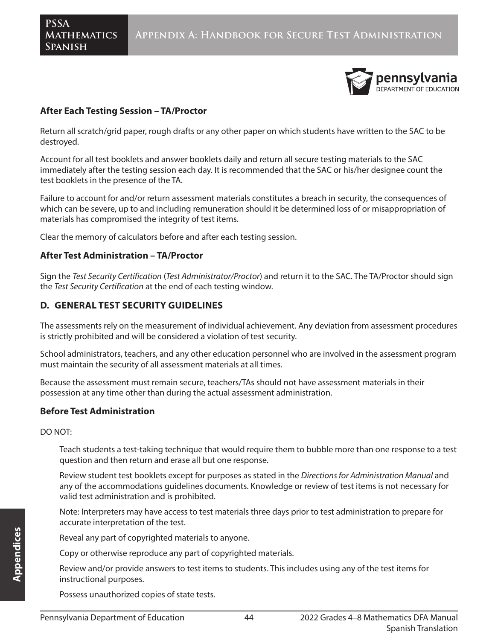

#### **After Each Testing Session – TA/Proctor**

Return all scratch/grid paper, rough drafts or any other paper on which students have written to the SAC to be destroyed.

Account for all test booklets and answer booklets daily and return all secure testing materials to the SAC immediately after the testing session each day. It is recommended that the SAC or his/her designee count the test booklets in the presence of the TA.

Failure to account for and/or return assessment materials constitutes a breach in security, the consequences of which can be severe, up to and including remuneration should it be determined loss of or misappropriation of materials has compromised the integrity of test items.

Clear the memory of calculators before and after each testing session.

#### **After Test Administration – TA/Proctor**

Sign the *Test Security Certification* (*Test Administrator/Proctor*) and return it to the SAC. The TA/Proctor should sign the *Test Security Certification* at the end of each testing window.

#### **D. GENERAL TEST SECURITY GUIDELINES**

The assessments rely on the measurement of individual achievement. Any deviation from assessment procedures is strictly prohibited and will be considered a violation of test security.

School administrators, teachers, and any other education personnel who are involved in the assessment program must maintain the security of all assessment materials at all times.

Because the assessment must remain secure, teachers/TAs should not have assessment materials in their possession at any time other than during the actual assessment administration.

#### **Before Test Administration**

DO NOT:

**Appendices**

**PSSA** 

**Spanish**

**Mathematics** 

Teach students a test-taking technique that would require them to bubble more than one response to a test question and then return and erase all but one response.

Review student test booklets except for purposes as stated in the *Directions for Administration Manual* and any of the accommodations guidelines documents. Knowledge or review of test items is not necessary for valid test administration and is prohibited.

Note: Interpreters may have access to test materials three days prior to test administration to prepare for accurate interpretation of the test.

Reveal any part of copyrighted materials to anyone.

Copy or otherwise reproduce any part of copyrighted materials.

Review and/or provide answers to test items to students. This includes using any of the test items for instructional purposes.

Possess unauthorized copies of state tests.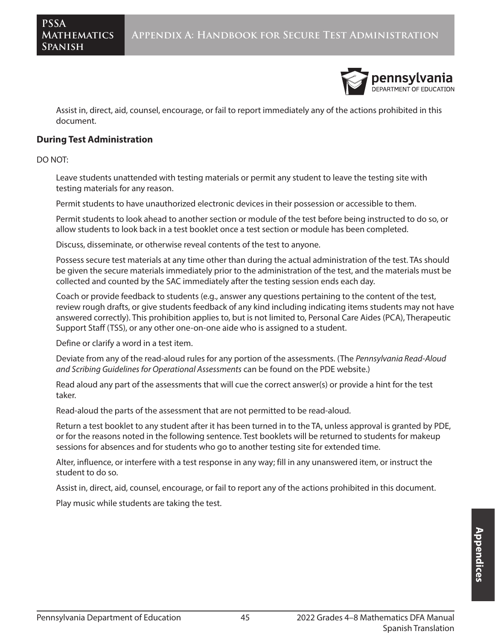

Assist in, direct, aid, counsel, encourage, or fail to report immediately any of the actions prohibited in this document.

#### **During Test Administration**

DO NOT:

Leave students unattended with testing materials or permit any student to leave the testing site with testing materials for any reason.

Permit students to have unauthorized electronic devices in their possession or accessible to them.

Permit students to look ahead to another section or module of the test before being instructed to do so, or allow students to look back in a test booklet once a test section or module has been completed.

Discuss, disseminate, or otherwise reveal contents of the test to anyone.

Possess secure test materials at any time other than during the actual administration of the test. TAs should be given the secure materials immediately prior to the administration of the test, and the materials must be collected and counted by the SAC immediately after the testing session ends each day.

Coach or provide feedback to students (e.g., answer any questions pertaining to the content of the test, review rough drafts, or give students feedback of any kind including indicating items students may not have answered correctly). This prohibition applies to, but is not limited to, Personal Care Aides (PCA), Therapeutic Support Staff (TSS), or any other one-on-one aide who is assigned to a student.

Define or clarify a word in a test item.

Deviate from any of the read-aloud rules for any portion of the assessments. (The *Pennsylvania Read-Aloud and Scribing Guidelines for Operational Assessments* can be found on the PDE website.)

Read aloud any part of the assessments that will cue the correct answer(s) or provide a hint for the test taker.

Read-aloud the parts of the assessment that are not permitted to be read-aloud.

Return a test booklet to any student after it has been turned in to the TA, unless approval is granted by PDE, or for the reasons noted in the following sentence. Test booklets will be returned to students for makeup sessions for absences and for students who go to another testing site for extended time.

Alter, influence, or interfere with a test response in any way; fill in any unanswered item, or instruct the student to do so.

Assist in, direct, aid, counsel, encourage, or fail to report any of the actions prohibited in this document.

Play music while students are taking the test.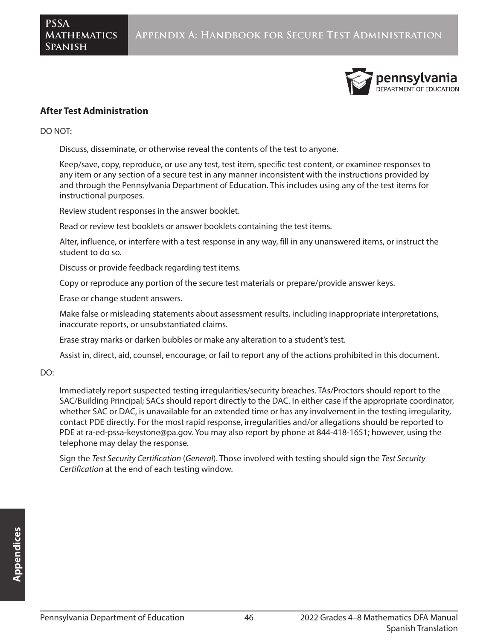

#### **After Test Administration**

DO NOT:

Discuss, disseminate, or otherwise reveal the contents of the test to anyone.

Keep/save, copy, reproduce, or use any test, test item, specific test content, or examinee responses to any item or any section of a secure test in any manner inconsistent with the instructions provided by and through the Pennsylvania Department of Education. This includes using any of the test items for instructional purposes.

Review student responses in the answer booklet.

Read or review test booklets or answer booklets containing the test items.

Alter, influence, or interfere with a test response in any way, fill in any unanswered items, or instruct the student to do so.

Discuss or provide feedback regarding test items.

Copy or reproduce any portion of the secure test materials or prepare/provide answer keys.

Erase or change student answers.

Make false or misleading statements about assessment results, including inappropriate interpretations, inaccurate reports, or unsubstantiated claims.

Erase stray marks or darken bubbles or make any alteration to a student's test.

Assist in, direct, aid, counsel, encourage, or fail to report any of the actions prohibited in this document.

DO:

Immediately report suspected testing irregularities/security breaches. TAs/Proctors should report to the SAC/Building Principal; SACs should report directly to the DAC. In either case if the appropriate coordinator, whether SAC or DAC, is unavailable for an extended time or has any involvement in the testing irregularity, contact PDE directly. For the most rapid response, irregularities and/or allegations should be reported to PDE at ra-ed-pssa-keystone@pa.gov. You may also report by phone at 844-418-1651; however, using the telephone may delay the response.

Sign the *Test Security Certification* (*General*). Those involved with testing should sign the *Test Security Certification* at the end of each testing window.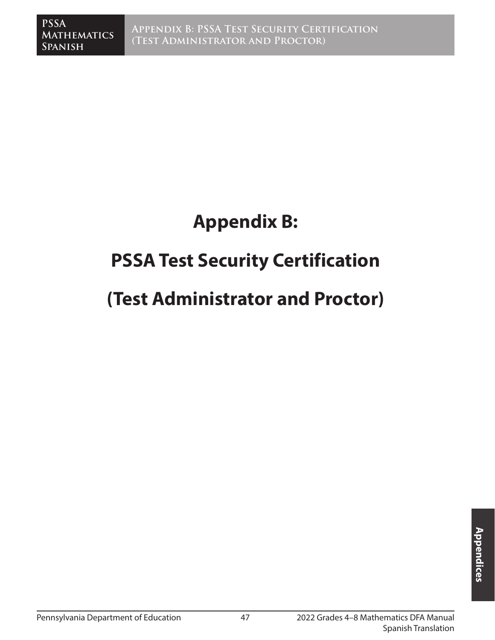# **Appendix B:**

# <span id="page-50-0"></span>**PSSA Test Security Certification**

## **(Test Administrator and Proctor)**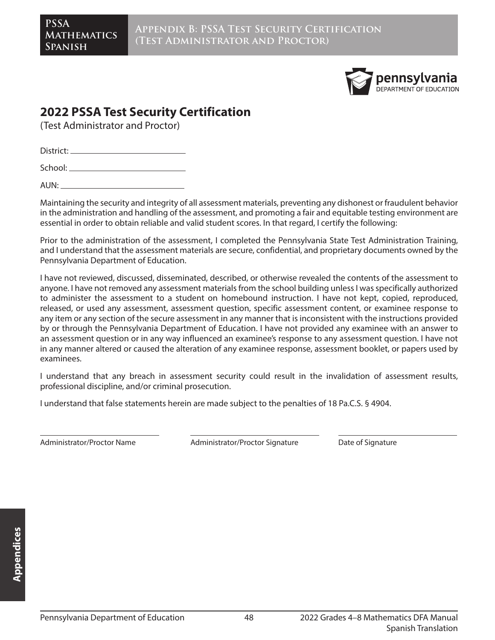

### **2022 PSSA Test Security Certification**

(Test Administrator and Proctor)

District:

School:

AUN:

Maintaining the security and integrity of all assessment materials, preventing any dishonest or fraudulent behavior in the administration and handling of the assessment, and promoting a fair and equitable testing environment are essential in order to obtain reliable and valid student scores. In that regard, I certify the following:

Prior to the administration of the assessment, I completed the Pennsylvania State Test Administration Training, and I understand that the assessment materials are secure, confidential, and proprietary documents owned by the Pennsylvania Department of Education.

I have not reviewed, discussed, disseminated, described, or otherwise revealed the contents of the assessment to anyone. I have not removed any assessment materials from the school building unless I was specifically authorized to administer the assessment to a student on homebound instruction. I have not kept, copied, reproduced, released, or used any assessment, assessment question, specific assessment content, or examinee response to any item or any section of the secure assessment in any manner that is inconsistent with the instructions provided by or through the Pennsylvania Department of Education. I have not provided any examinee with an answer to an assessment question or in any way influenced an examinee's response to any assessment question. I have not in any manner altered or caused the alteration of any examinee response, assessment booklet, or papers used by examinees.

I understand that any breach in assessment security could result in the invalidation of assessment results, professional discipline, and/or criminal prosecution.

I understand that false statements herein are made subject to the penalties of 18 Pa.C.S. § 4904.

Administrator/Proctor Name **Administrator/Proctor Signature** Date of Signature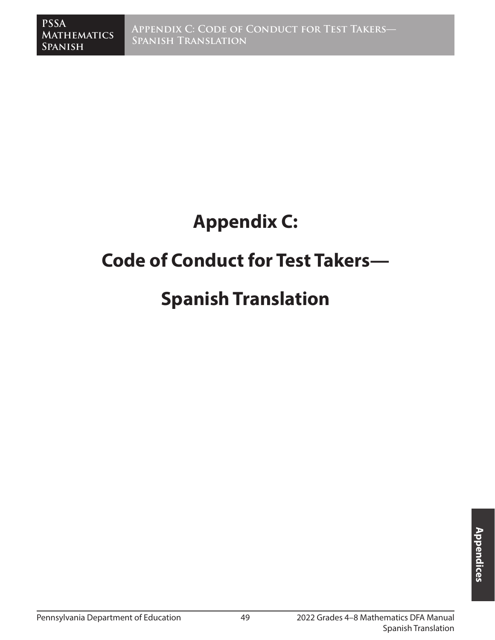# **Appendix C:**

# <span id="page-52-0"></span>**Code of Conduct for Test Takers—**

## **Spanish Translation**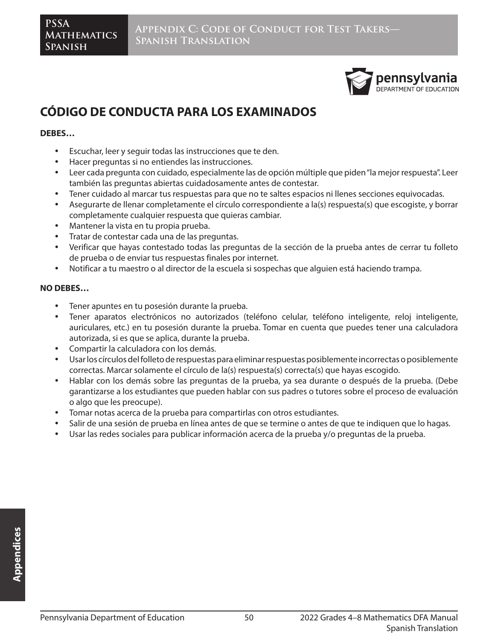

### **CÓDIGO DE CONDUCTA PARA LOS EXAMINADOS**

#### **DEBES…**

- **•** Escuchar, leer y seguir todas las instrucciones que te den.
- Hacer preguntas si no entiendes las instrucciones.
- y Leer cada pregunta con cuidado, especialmente las de opción múltiple que piden "la mejor respuesta". Leer también las preguntas abiertas cuidadosamente antes de contestar.
- Tener cuidado al marcar tus respuestas para que no te saltes espacios ni llenes secciones equivocadas.
- Asegurarte de llenar completamente el círculo correspondiente a la(s) respuesta(s) que escogiste, y borrar completamente cualquier respuesta que quieras cambiar.
- Mantener la vista en tu propia prueba.
- Tratar de contestar cada una de las preguntas.
- y Verificar que hayas contestado todas las preguntas de la sección de la prueba antes de cerrar tu folleto de prueba o de enviar tus respuestas finales por internet.
- y Notificar a tu maestro o al director de la escuela si sospechas que alguien está haciendo trampa.

#### **NO DEBES…**

- Tener apuntes en tu posesión durante la prueba.
- Tener aparatos electrónicos no autorizados (teléfono celular, teléfono inteligente, reloj inteligente, auriculares, etc.) en tu posesión durante la prueba. Tomar en cuenta que puedes tener una calculadora autorizada, si es que se aplica, durante la prueba.
- Compartir la calculadora con los demás.
- y Usar los círculos del folleto de respuestas para eliminar respuestas posiblemente incorrectas o posiblemente correctas. Marcar solamente el círculo de la(s) respuesta(s) correcta(s) que hayas escogido.
- Hablar con los demás sobre las preguntas de la prueba, ya sea durante o después de la prueba. (Debe garantizarse a los estudiantes que pueden hablar con sus padres o tutores sobre el proceso de evaluación o algo que les preocupe).
- Tomar notas acerca de la prueba para compartirlas con otros estudiantes.
- Salir de una sesión de prueba en línea antes de que se termine o antes de que te indiquen que lo hagas.
- Usar las redes sociales para publicar información acerca de la prueba y/o preguntas de la prueba.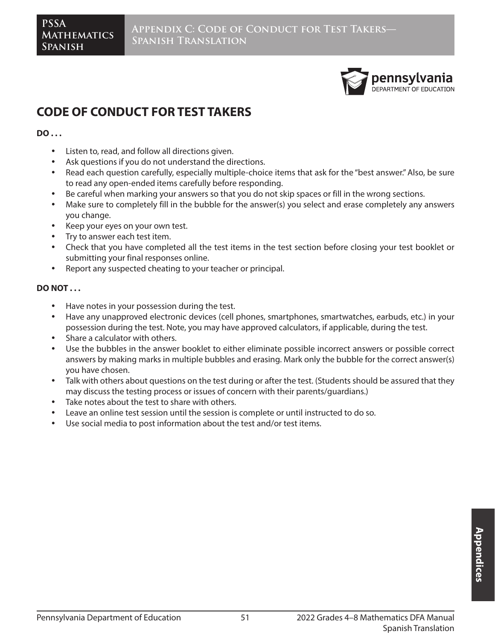

### **CODE OF CONDUCT FOR TEST TAKERS**

#### **DO ...**

- Listen to, read, and follow all directions given.
- Ask questions if you do not understand the directions.
- Read each question carefully, especially multiple-choice items that ask for the "best answer." Also, be sure to read any open-ended items carefully before responding.
- Be careful when marking your answers so that you do not skip spaces or fill in the wrong sections.
- Make sure to completely fill in the bubble for the answer(s) you select and erase completely any answers you change.
- Keep your eyes on your own test.
- Try to answer each test item.
- Check that you have completed all the test items in the test section before closing your test booklet or submitting your final responses online.
- Report any suspected cheating to your teacher or principal.

#### **DO NOT ...**

- Have notes in your possession during the test.
- Have any unapproved electronic devices (cell phones, smartphones, smartwatches, earbuds, etc.) in your possession during the test. Note, you may have approved calculators, if applicable, during the test.
- Share a calculator with others.
- Use the bubbles in the answer booklet to either eliminate possible incorrect answers or possible correct answers by making marks in multiple bubbles and erasing. Mark only the bubble for the correct answer(s) you have chosen.
- Talk with others about questions on the test during or after the test. (Students should be assured that they may discuss the testing process or issues of concern with their parents/guardians.)
- Take notes about the test to share with others.
- Leave an online test session until the session is complete or until instructed to do so.
- Use social media to post information about the test and/or test items.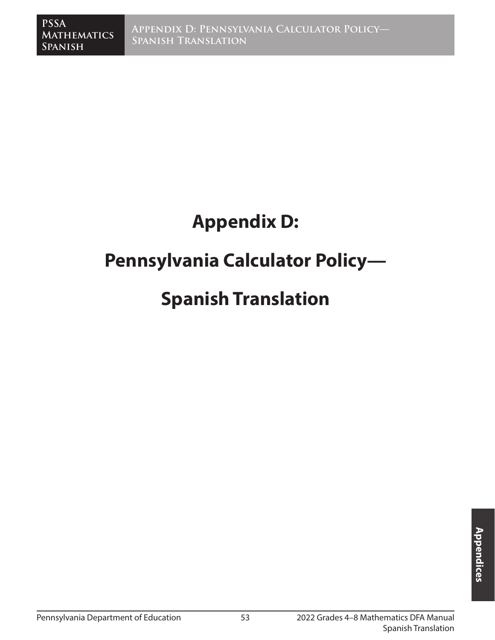# **Appendix D:**

## <span id="page-56-0"></span>**Pennsylvania Calculator Policy—**

## **Spanish Translation**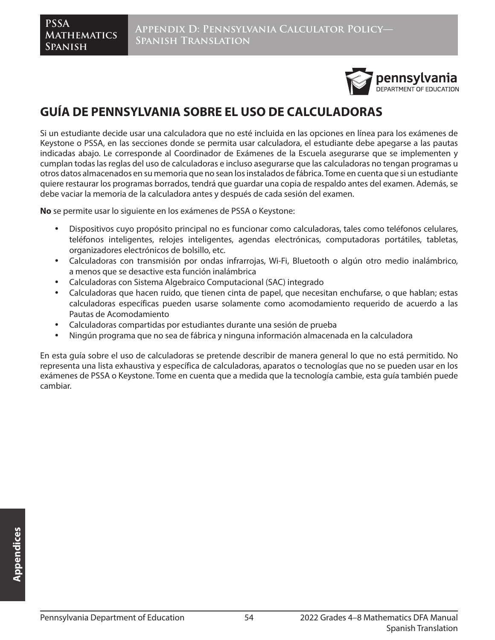

### **GUÍA DE PENNSYLVANIA SOBRE EL USO DE CALCULADORAS**

Si un estudiante decide usar una calculadora que no esté incluida en las opciones en línea para los exámenes de Keystone o PSSA, en las secciones donde se permita usar calculadora, el estudiante debe apegarse a las pautas indicadas abajo. Le corresponde al Coordinador de Exámenes de la Escuela asegurarse que se implementen y cumplan todas las reglas del uso de calculadoras e incluso asegurarse que las calculadoras no tengan programas u otros datos almacenados en su memoria que no sean los instalados de fábrica. Tome en cuenta que si un estudiante quiere restaurar los programas borrados, tendrá que guardar una copia de respaldo antes del examen. Además, se debe vaciar la memoria de la calculadora antes y después de cada sesión del examen.

**No** se permite usar lo siguiente en los exámenes de PSSA o Keystone:

- Dispositivos cuyo propósito principal no es funcionar como calculadoras, tales como teléfonos celulares, teléfonos inteligentes, relojes inteligentes, agendas electrónicas, computadoras portátiles, tabletas, organizadores electrónicos de bolsillo, etc.
- Calculadoras con transmisión por ondas infrarrojas, Wi-Fi, Bluetooth o algún otro medio inalámbrico, a menos que se desactive esta función inalámbrica
- y Calculadoras con Sistema Algebraico Computacional (SAC) integrado
- Calculadoras que hacen ruido, que tienen cinta de papel, que necesitan enchufarse, o que hablan; estas calculadoras específicas pueden usarse solamente como acomodamiento requerido de acuerdo a las Pautas de Acomodamiento
- y Calculadoras compartidas por estudiantes durante una sesión de prueba
- y Ningún programa que no sea de fábrica y ninguna información almacenada en la calculadora

En esta guía sobre el uso de calculadoras se pretende describir de manera general lo que no está permitido. No representa una lista exhaustiva y específica de calculadoras, aparatos o tecnologías que no se pueden usar en los exámenes de PSSA o Keystone. Tome en cuenta que a medida que la tecnología cambie, esta guía también puede cambiar.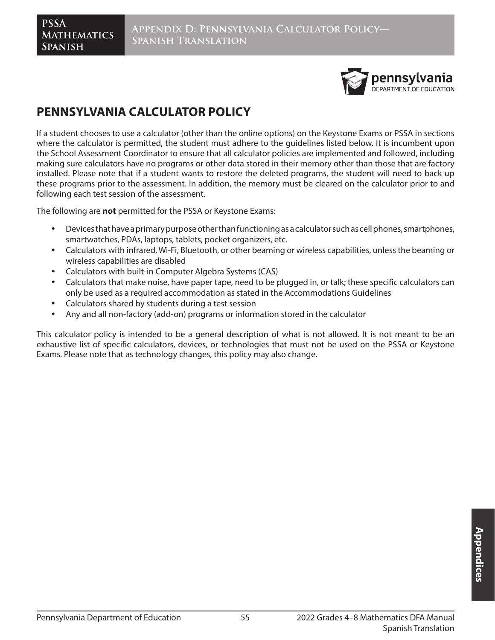

### **PENNSYLVANIA CALCULATOR POLICY**

If a student chooses to use a calculator (other than the online options) on the Keystone Exams or PSSA in sections where the calculator is permitted, the student must adhere to the guidelines listed below. It is incumbent upon the School Assessment Coordinator to ensure that all calculator policies are implemented and followed, including making sure calculators have no programs or other data stored in their memory other than those that are factory installed. Please note that if a student wants to restore the deleted programs, the student will need to back up these programs prior to the assessment. In addition, the memory must be cleared on the calculator prior to and following each test session of the assessment.

The following are **not** permitted for the PSSA or Keystone Exams:

- Devices that have a primary purpose other than functioning as a calculator such as cell phones, smartphones, smartwatches, PDAs, laptops, tablets, pocket organizers, etc.
- Calculators with infrared, Wi-Fi, Bluetooth, or other beaming or wireless capabilities, unless the beaming or wireless capabilities are disabled
- Calculators with built-in Computer Algebra Systems (CAS)
- Calculators that make noise, have paper tape, need to be plugged in, or talk; these specific calculators can only be used as a required accommodation as stated in the Accommodations Guidelines
- Calculators shared by students during a test session
- Any and all non-factory (add-on) programs or information stored in the calculator

This calculator policy is intended to be a general description of what is not allowed. It is not meant to be an exhaustive list of specific calculators, devices, or technologies that must not be used on the PSSA or Keystone Exams. Please note that as technology changes, this policy may also change.